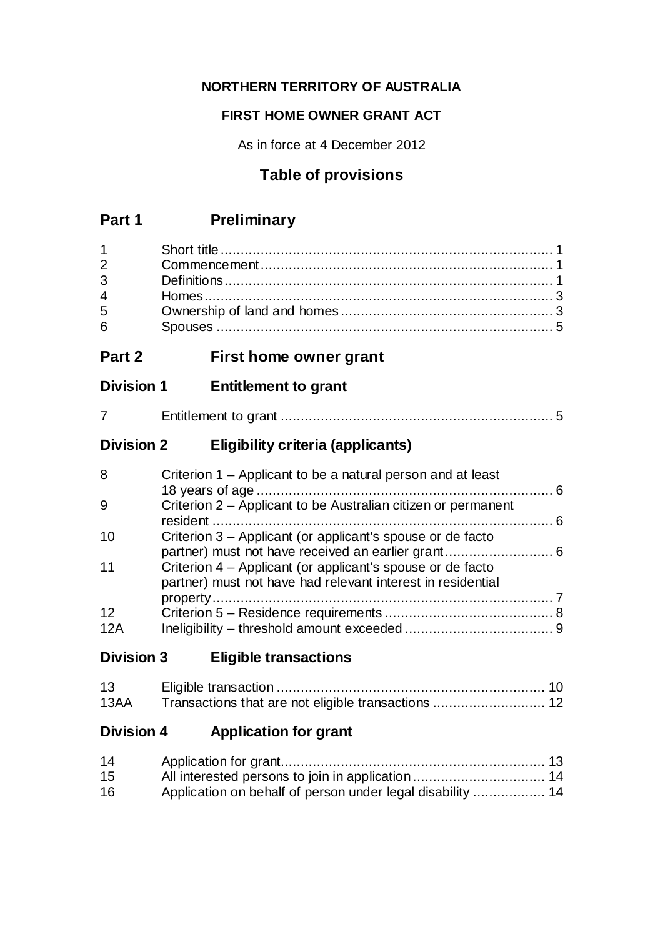## **NORTHERN TERRITORY OF AUSTRALIA**

### **FIRST HOME OWNER GRANT ACT**

As in force at 4 December 2012

# **Table of provisions**

| $\mathbf{1}$<br>$\overline{2}$<br>3<br>$\overline{4}$<br>5<br>6 |                                                                                                                           |  |
|-----------------------------------------------------------------|---------------------------------------------------------------------------------------------------------------------------|--|
| Part 2                                                          | First home owner grant                                                                                                    |  |
| <b>Division 1</b>                                               | <b>Entitlement to grant</b>                                                                                               |  |
| 7                                                               |                                                                                                                           |  |
| <b>Division 2</b>                                               | <b>Eligibility criteria (applicants)</b>                                                                                  |  |
| 8                                                               | Criterion 1 – Applicant to be a natural person and at least                                                               |  |
| 9                                                               | Criterion 2 - Applicant to be Australian citizen or permanent<br>resident                                                 |  |
| 10                                                              | Criterion 3 - Applicant (or applicant's spouse or de facto<br>partner) must not have received an earlier grant 6          |  |
| 11                                                              | Criterion 4 - Applicant (or applicant's spouse or de facto<br>partner) must not have had relevant interest in residential |  |
| 12<br>12A                                                       |                                                                                                                           |  |
| <b>Division 3</b>                                               | <b>Eligible transactions</b>                                                                                              |  |

| 13   |  |
|------|--|
| 13AA |  |

# **Division 4 Application for grant**

| 14 |                                                            |  |
|----|------------------------------------------------------------|--|
| 15 |                                                            |  |
| 16 | Application on behalf of person under legal disability  14 |  |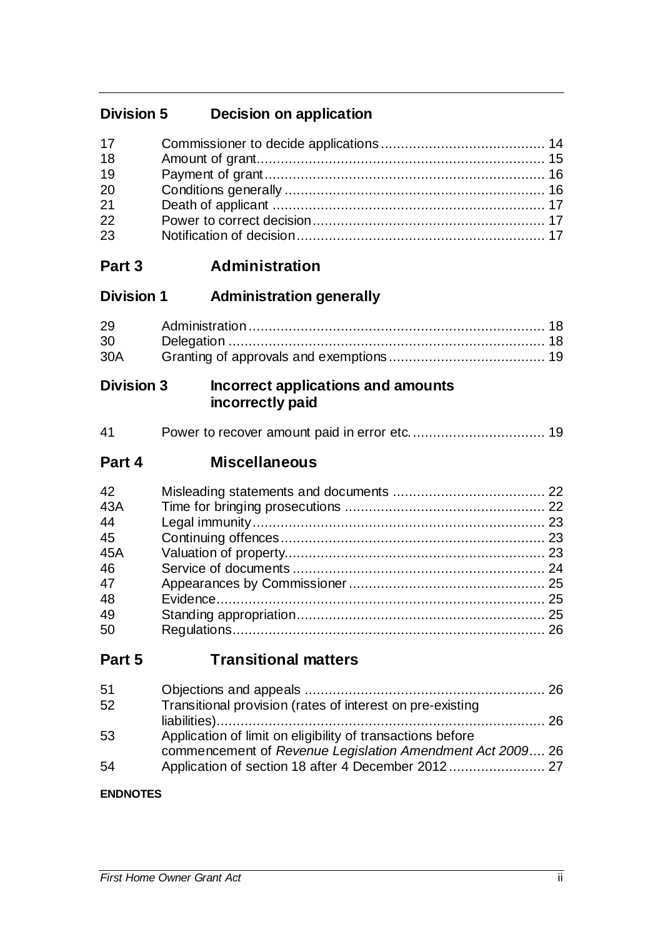# **Division 5 Decision on application**

| 17 |  |
|----|--|
| 18 |  |
| 19 |  |
| 20 |  |
| 21 |  |
| 22 |  |
| 23 |  |

# **Part 3 Administration**

| <b>Division 1</b> | <b>Administration generally</b> |  |
|-------------------|---------------------------------|--|
|-------------------|---------------------------------|--|

| 29              |  |
|-----------------|--|
| 30 <sup>7</sup> |  |
| 30A             |  |

### **Division 3 Incorrect applications and amounts incorrectly paid**

| 41 |  |  |
|----|--|--|
|----|--|--|

## **Part 4 Miscellaneous**

| 42  |  |
|-----|--|
| 43A |  |
| 44  |  |
| 45  |  |
| 45A |  |
| 46  |  |
| 47  |  |
| 48  |  |
| 49  |  |
| 50  |  |

# **Part 5 Transitional matters**

| 51 |                                                            |  |
|----|------------------------------------------------------------|--|
| 52 | Transitional provision (rates of interest on pre-existing  |  |
|    |                                                            |  |
| 53 | Application of limit on eligibility of transactions before |  |
|    | commencement of Revenue Legislation Amendment Act 2009 26  |  |
| 54 |                                                            |  |

### **ENDNOTES**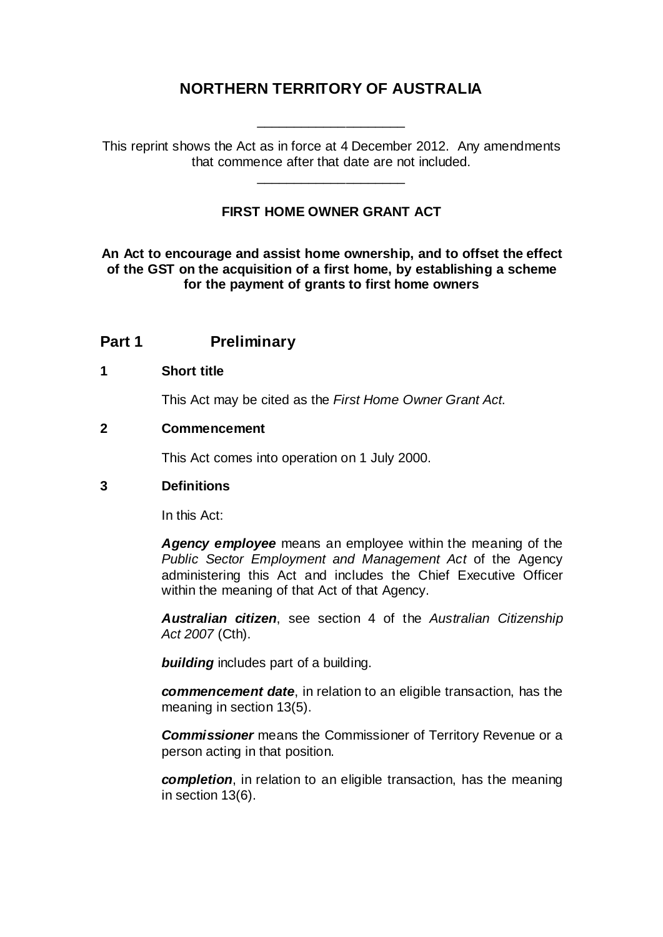## **NORTHERN TERRITORY OF AUSTRALIA**

\_\_\_\_\_\_\_\_\_\_\_\_\_\_\_\_\_\_\_\_

This reprint shows the Act as in force at 4 December 2012. Any amendments that commence after that date are not included.

\_\_\_\_\_\_\_\_\_\_\_\_\_\_\_\_\_\_\_\_

#### **FIRST HOME OWNER GRANT ACT**

**An Act to encourage and assist home ownership, and to offset the effect of the GST on the acquisition of a first home, by establishing a scheme for the payment of grants to first home owners**

### **Part 1 Preliminary**

#### **1 Short title**

This Act may be cited as the *First Home Owner Grant Act*.

#### **2 Commencement**

This Act comes into operation on 1 July 2000.

#### **3 Definitions**

In this Act:

*Agency employee* means an employee within the meaning of the *Public Sector Employment and Management Act* of the Agency administering this Act and includes the Chief Executive Officer within the meaning of that Act of that Agency.

*Australian citizen*, see section 4 of the *Australian Citizenship Act 2007* (Cth).

*building* includes part of a building.

*commencement date*, in relation to an eligible transaction, has the meaning in section 13(5).

*Commissioner* means the Commissioner of Territory Revenue or a person acting in that position.

*completion*, in relation to an eligible transaction, has the meaning in section 13(6).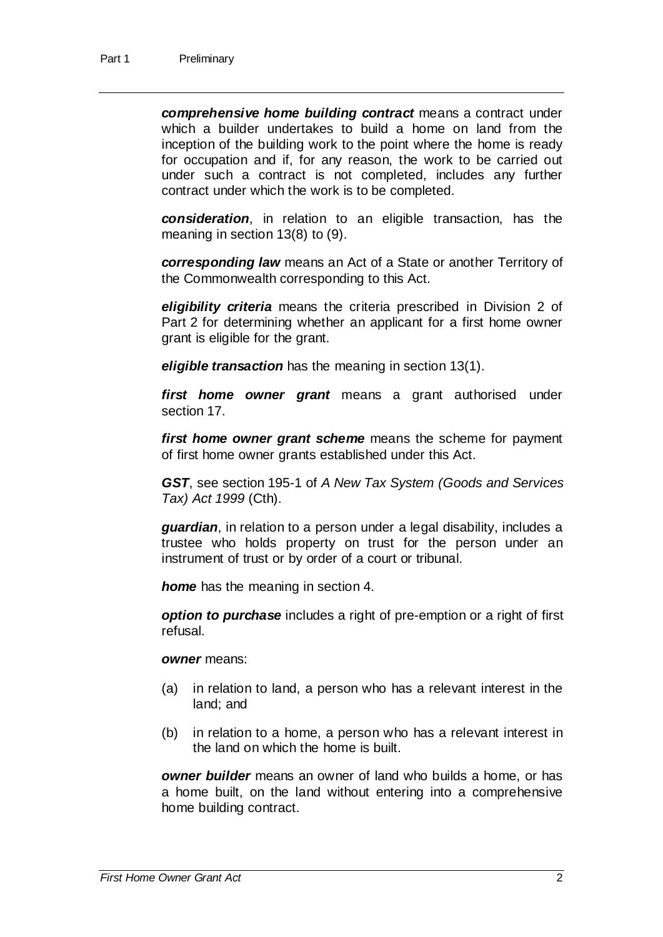*comprehensive home building contract* means a contract under which a builder undertakes to build a home on land from the inception of the building work to the point where the home is ready for occupation and if, for any reason, the work to be carried out under such a contract is not completed, includes any further contract under which the work is to be completed.

*consideration*, in relation to an eligible transaction, has the meaning in section 13(8) to (9).

*corresponding law* means an Act of a State or another Territory of the Commonwealth corresponding to this Act.

*eligibility criteria* means the criteria prescribed in Division 2 of Part 2 for determining whether an applicant for a first home owner grant is eligible for the grant.

*eligible transaction* has the meaning in section 13(1).

*first home owner grant* means a grant authorised under section 17.

*first home owner grant scheme* means the scheme for payment of first home owner grants established under this Act.

*GST*, see section 195-1 of *A New Tax System (Goods and Services Tax) Act 1999* (Cth).

*guardian*, in relation to a person under a legal disability, includes a trustee who holds property on trust for the person under an instrument of trust or by order of a court or tribunal.

*home* has the meaning in section 4.

*option to purchase* includes a right of pre-emption or a right of first refusal.

*owner* means:

- (a) in relation to land, a person who has a relevant interest in the land; and
- (b) in relation to a home, a person who has a relevant interest in the land on which the home is built.

*owner builder* means an owner of land who builds a home, or has a home built, on the land without entering into a comprehensive home building contract.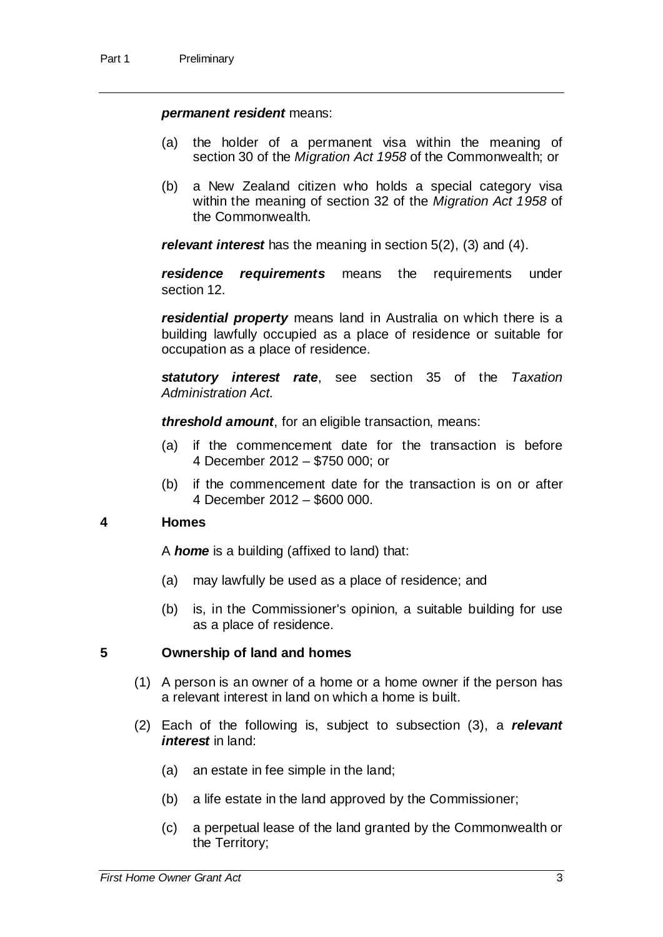#### *permanent resident* means:

- (a) the holder of a permanent visa within the meaning of section 30 of the *Migration Act 1958* of the Commonwealth; or
- (b) a New Zealand citizen who holds a special category visa within the meaning of section 32 of the *Migration Act 1958* of the Commonwealth.

*relevant interest* has the meaning in section 5(2), (3) and (4).

*residence requirements* means the requirements under section 12.

*residential property* means land in Australia on which there is a building lawfully occupied as a place of residence or suitable for occupation as a place of residence.

*statutory interest rate*, see section 35 of the *Taxation Administration Act*.

*threshold amount*, for an eligible transaction, means:

- (a) if the commencement date for the transaction is before 4 December 2012 – \$750 000; or
- (b) if the commencement date for the transaction is on or after 4 December 2012 – \$600 000.

#### **4 Homes**

A *home* is a building (affixed to land) that:

- (a) may lawfully be used as a place of residence; and
- (b) is, in the Commissioner's opinion, a suitable building for use as a place of residence.

#### **5 Ownership of land and homes**

- (1) A person is an owner of a home or a home owner if the person has a relevant interest in land on which a home is built.
- (2) Each of the following is, subject to subsection (3), a *relevant interest* in land:
	- (a) an estate in fee simple in the land;
	- (b) a life estate in the land approved by the Commissioner;
	- (c) a perpetual lease of the land granted by the Commonwealth or the Territory;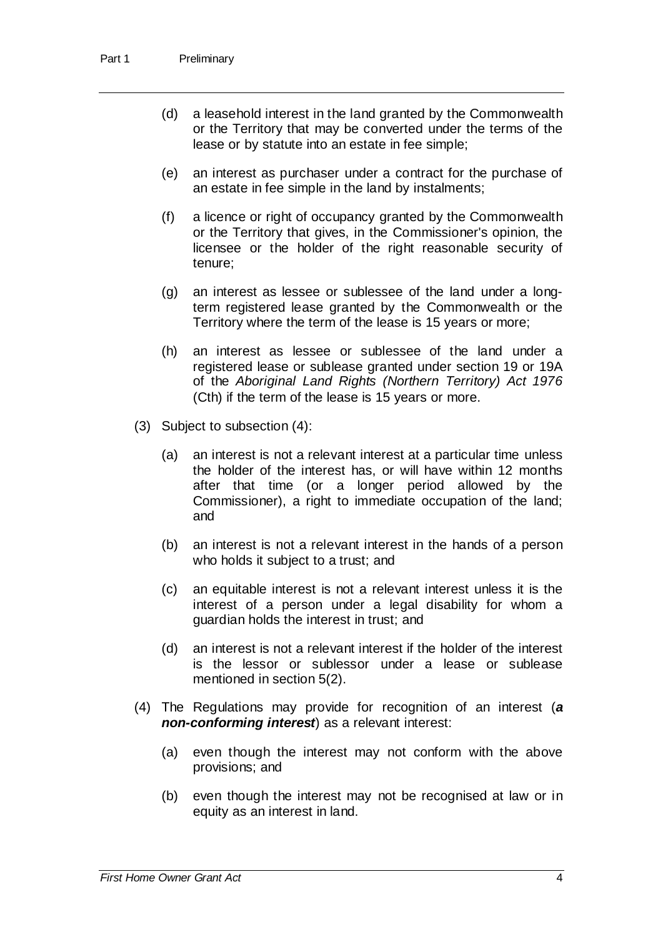- (d) a leasehold interest in the land granted by the Commonwealth or the Territory that may be converted under the terms of the lease or by statute into an estate in fee simple;
- (e) an interest as purchaser under a contract for the purchase of an estate in fee simple in the land by instalments;
- (f) a licence or right of occupancy granted by the Commonwealth or the Territory that gives, in the Commissioner's opinion, the licensee or the holder of the right reasonable security of tenure;
- (g) an interest as lessee or sublessee of the land under a longterm registered lease granted by the Commonwealth or the Territory where the term of the lease is 15 years or more;
- (h) an interest as lessee or sublessee of the land under a registered lease or sublease granted under section 19 or 19A of the *Aboriginal Land Rights (Northern Territory) Act 1976* (Cth) if the term of the lease is 15 years or more.
- (3) Subject to subsection (4):
	- (a) an interest is not a relevant interest at a particular time unless the holder of the interest has, or will have within 12 months after that time (or a longer period allowed by the Commissioner), a right to immediate occupation of the land; and
	- (b) an interest is not a relevant interest in the hands of a person who holds it subject to a trust; and
	- (c) an equitable interest is not a relevant interest unless it is the interest of a person under a legal disability for whom a guardian holds the interest in trust; and
	- (d) an interest is not a relevant interest if the holder of the interest is the lessor or sublessor under a lease or sublease mentioned in section 5(2).
- (4) The Regulations may provide for recognition of an interest (*a non-conforming interest*) as a relevant interest:
	- (a) even though the interest may not conform with the above provisions; and
	- (b) even though the interest may not be recognised at law or in equity as an interest in land.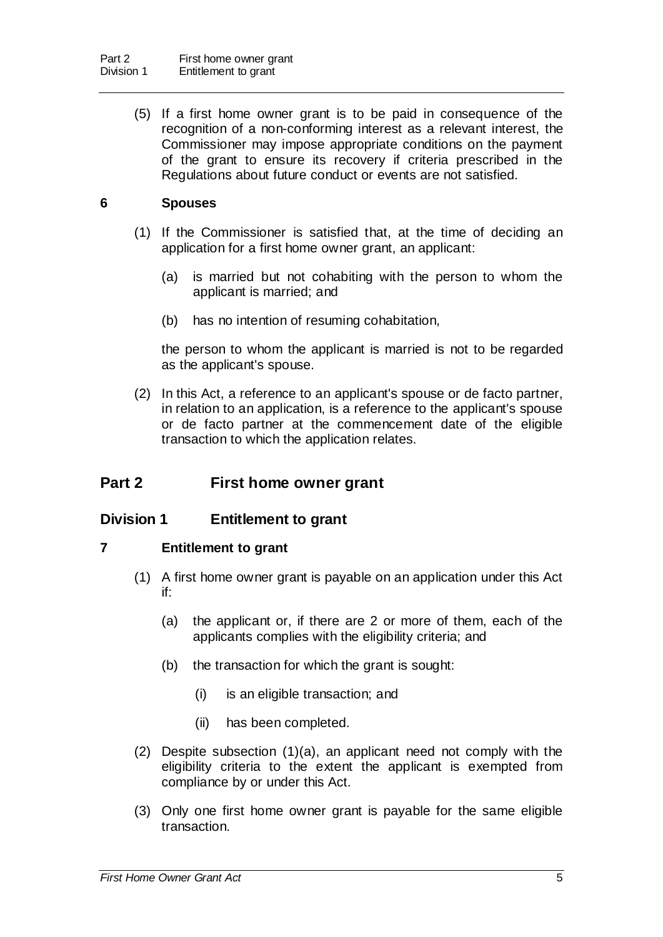(5) If a first home owner grant is to be paid in consequence of the recognition of a non-conforming interest as a relevant interest, the Commissioner may impose appropriate conditions on the payment of the grant to ensure its recovery if criteria prescribed in the Regulations about future conduct or events are not satisfied.

### **6 Spouses**

- (1) If the Commissioner is satisfied that, at the time of deciding an application for a first home owner grant, an applicant:
	- (a) is married but not cohabiting with the person to whom the applicant is married; and
	- (b) has no intention of resuming cohabitation,

the person to whom the applicant is married is not to be regarded as the applicant's spouse.

(2) In this Act, a reference to an applicant's spouse or de facto partner, in relation to an application, is a reference to the applicant's spouse or de facto partner at the commencement date of the eligible transaction to which the application relates.

## **Part 2 First home owner grant**

### **Division 1 Entitlement to grant**

#### **7 Entitlement to grant**

- (1) A first home owner grant is payable on an application under this Act if:
	- (a) the applicant or, if there are 2 or more of them, each of the applicants complies with the eligibility criteria; and
	- (b) the transaction for which the grant is sought:
		- (i) is an eligible transaction; and
		- (ii) has been completed.
- (2) Despite subsection (1)(a), an applicant need not comply with the eligibility criteria to the extent the applicant is exempted from compliance by or under this Act.
- (3) Only one first home owner grant is payable for the same eligible transaction.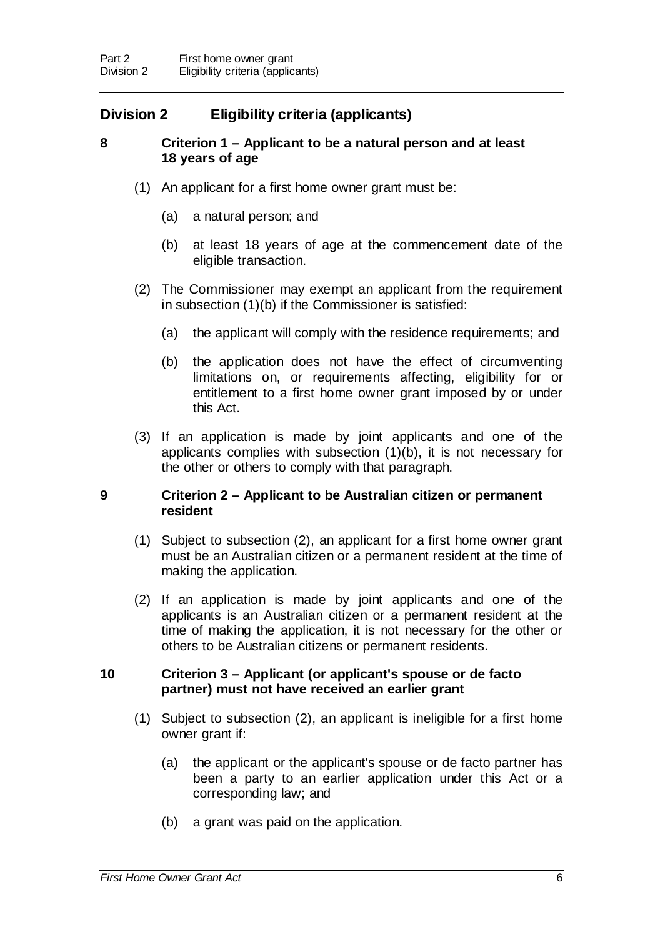## **Division 2 Eligibility criteria (applicants)**

### **8 Criterion 1 – Applicant to be a natural person and at least 18 years of age**

- (1) An applicant for a first home owner grant must be:
	- (a) a natural person; and
	- (b) at least 18 years of age at the commencement date of the eligible transaction.
- (2) The Commissioner may exempt an applicant from the requirement in subsection (1)(b) if the Commissioner is satisfied:
	- (a) the applicant will comply with the residence requirements; and
	- (b) the application does not have the effect of circumventing limitations on, or requirements affecting, eligibility for or entitlement to a first home owner grant imposed by or under this Act.
- (3) If an application is made by joint applicants and one of the applicants complies with subsection (1)(b), it is not necessary for the other or others to comply with that paragraph.

### **9 Criterion 2 – Applicant to be Australian citizen or permanent resident**

- (1) Subject to subsection (2), an applicant for a first home owner grant must be an Australian citizen or a permanent resident at the time of making the application.
- (2) If an application is made by joint applicants and one of the applicants is an Australian citizen or a permanent resident at the time of making the application, it is not necessary for the other or others to be Australian citizens or permanent residents.

### **10 Criterion 3 – Applicant (or applicant's spouse or de facto partner) must not have received an earlier grant**

- (1) Subject to subsection (2), an applicant is ineligible for a first home owner grant if:
	- (a) the applicant or the applicant's spouse or de facto partner has been a party to an earlier application under this Act or a corresponding law; and
	- (b) a grant was paid on the application.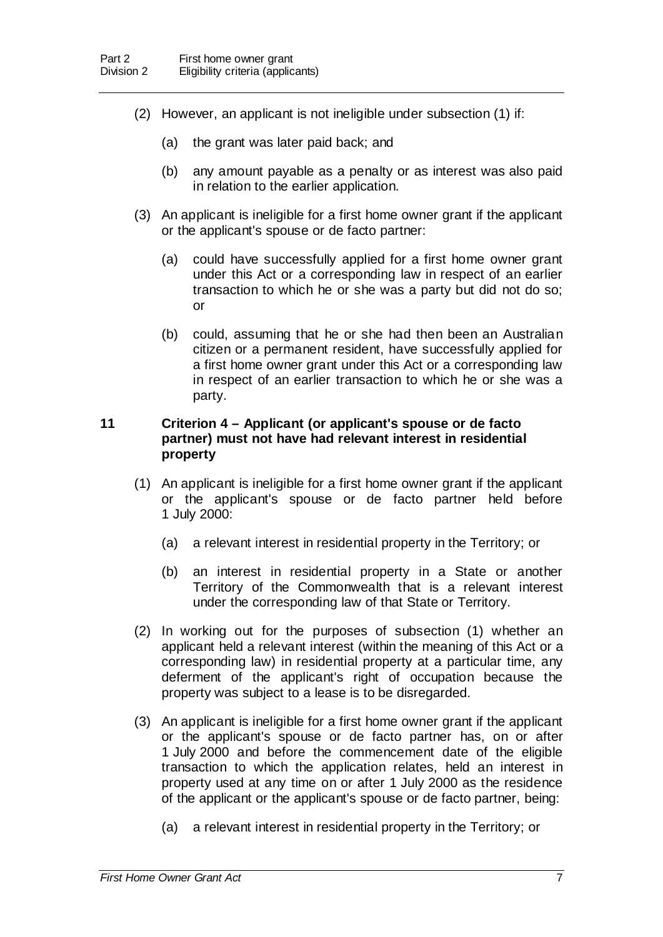- (2) However, an applicant is not ineligible under subsection (1) if:
	- (a) the grant was later paid back; and
	- (b) any amount payable as a penalty or as interest was also paid in relation to the earlier application.
- (3) An applicant is ineligible for a first home owner grant if the applicant or the applicant's spouse or de facto partner:
	- (a) could have successfully applied for a first home owner grant under this Act or a corresponding law in respect of an earlier transaction to which he or she was a party but did not do so; or
	- (b) could, assuming that he or she had then been an Australian citizen or a permanent resident, have successfully applied for a first home owner grant under this Act or a corresponding law in respect of an earlier transaction to which he or she was a party.

#### **11 Criterion 4 – Applicant (or applicant's spouse or de facto partner) must not have had relevant interest in residential property**

- (1) An applicant is ineligible for a first home owner grant if the applicant or the applicant's spouse or de facto partner held before 1 July 2000:
	- (a) a relevant interest in residential property in the Territory; or
	- (b) an interest in residential property in a State or another Territory of the Commonwealth that is a relevant interest under the corresponding law of that State or Territory.
- (2) In working out for the purposes of subsection (1) whether an applicant held a relevant interest (within the meaning of this Act or a corresponding law) in residential property at a particular time, any deferment of the applicant's right of occupation because the property was subject to a lease is to be disregarded.
- (3) An applicant is ineligible for a first home owner grant if the applicant or the applicant's spouse or de facto partner has, on or after 1 July 2000 and before the commencement date of the eligible transaction to which the application relates, held an interest in property used at any time on or after 1 July 2000 as the residence of the applicant or the applicant's spouse or de facto partner, being:
	- (a) a relevant interest in residential property in the Territory; or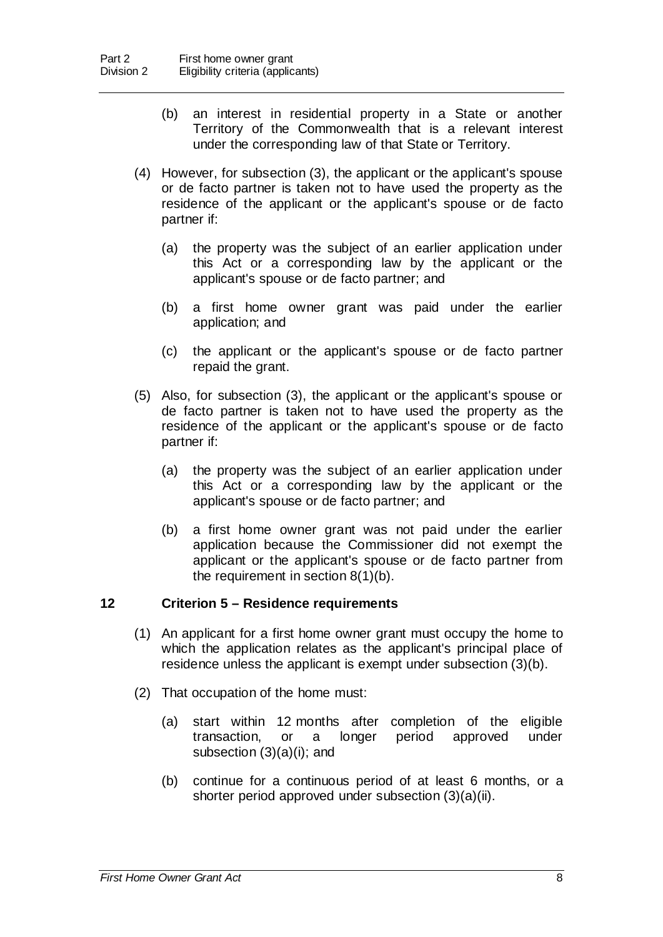- (b) an interest in residential property in a State or another Territory of the Commonwealth that is a relevant interest under the corresponding law of that State or Territory.
- (4) However, for subsection (3), the applicant or the applicant's spouse or de facto partner is taken not to have used the property as the residence of the applicant or the applicant's spouse or de facto partner if:
	- (a) the property was the subject of an earlier application under this Act or a corresponding law by the applicant or the applicant's spouse or de facto partner; and
	- (b) a first home owner grant was paid under the earlier application; and
	- (c) the applicant or the applicant's spouse or de facto partner repaid the grant.
- (5) Also, for subsection (3), the applicant or the applicant's spouse or de facto partner is taken not to have used the property as the residence of the applicant or the applicant's spouse or de facto partner if:
	- (a) the property was the subject of an earlier application under this Act or a corresponding law by the applicant or the applicant's spouse or de facto partner; and
	- (b) a first home owner grant was not paid under the earlier application because the Commissioner did not exempt the applicant or the applicant's spouse or de facto partner from the requirement in section 8(1)(b).

#### **12 Criterion 5 – Residence requirements**

- (1) An applicant for a first home owner grant must occupy the home to which the application relates as the applicant's principal place of residence unless the applicant is exempt under subsection (3)(b).
- (2) That occupation of the home must:
	- (a) start within 12 months after completion of the eligible transaction, or a longer period approved under subsection (3)(a)(i); and
	- (b) continue for a continuous period of at least 6 months, or a shorter period approved under subsection (3)(a)(ii).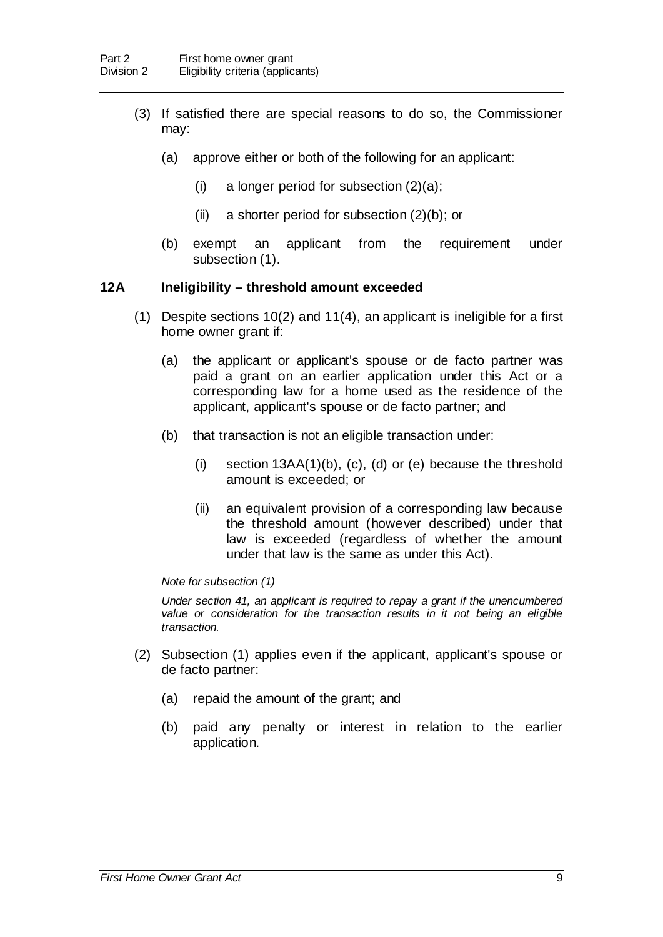- (3) If satisfied there are special reasons to do so, the Commissioner may:
	- (a) approve either or both of the following for an applicant:
		- (i) a longer period for subsection  $(2)(a)$ ;
		- (ii) a shorter period for subsection (2)(b); or
	- (b) exempt an applicant from the requirement under subsection (1).

#### **12A Ineligibility – threshold amount exceeded**

- (1) Despite sections 10(2) and 11(4), an applicant is ineligible for a first home owner grant if:
	- (a) the applicant or applicant's spouse or de facto partner was paid a grant on an earlier application under this Act or a corresponding law for a home used as the residence of the applicant, applicant's spouse or de facto partner; and
	- (b) that transaction is not an eligible transaction under:
		- (i) section 13AA(1)(b), (c), (d) or (e) because the threshold amount is exceeded; or
		- (ii) an equivalent provision of a corresponding law because the threshold amount (however described) under that law is exceeded (regardless of whether the amount under that law is the same as under this Act).

#### *Note for subsection (1)*

*Under section 41, an applicant is required to repay a grant if the unencumbered*  value or consideration for the transaction results in it not being an eligible *transaction.*

- (2) Subsection (1) applies even if the applicant, applicant's spouse or de facto partner:
	- (a) repaid the amount of the grant; and
	- (b) paid any penalty or interest in relation to the earlier application.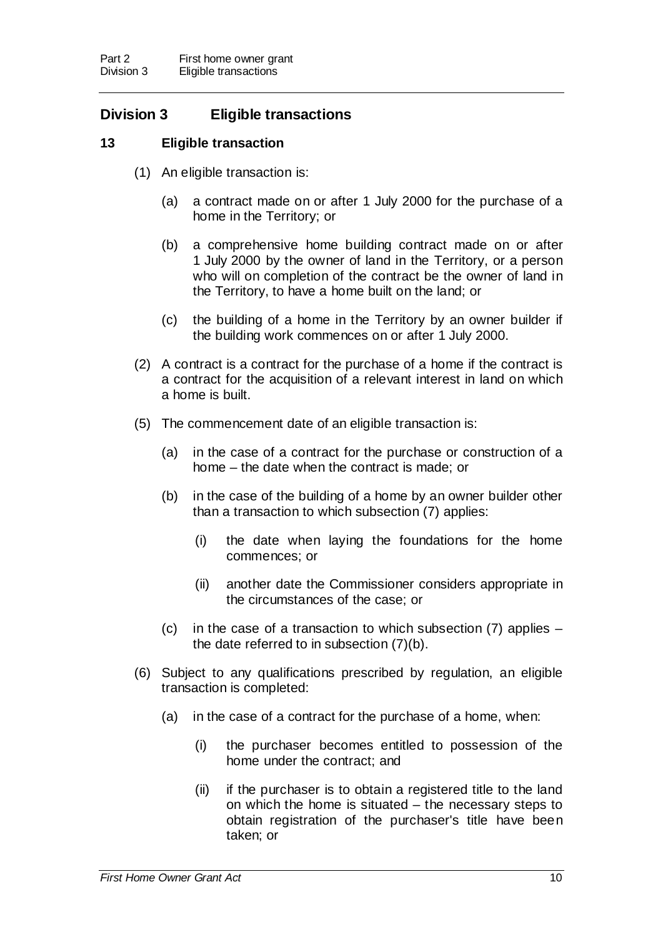## **Division 3 Eligible transactions**

### **13 Eligible transaction**

- (1) An eligible transaction is:
	- (a) a contract made on or after 1 July 2000 for the purchase of a home in the Territory; or
	- (b) a comprehensive home building contract made on or after 1 July 2000 by the owner of land in the Territory, or a person who will on completion of the contract be the owner of land in the Territory, to have a home built on the land; or
	- (c) the building of a home in the Territory by an owner builder if the building work commences on or after 1 July 2000.
- (2) A contract is a contract for the purchase of a home if the contract is a contract for the acquisition of a relevant interest in land on which a home is built.
- (5) The commencement date of an eligible transaction is:
	- (a) in the case of a contract for the purchase or construction of a home – the date when the contract is made; or
	- (b) in the case of the building of a home by an owner builder other than a transaction to which subsection (7) applies:
		- (i) the date when laying the foundations for the home commences; or
		- (ii) another date the Commissioner considers appropriate in the circumstances of the case; or
	- (c) in the case of a transaction to which subsection (7) applies the date referred to in subsection (7)(b).
- (6) Subject to any qualifications prescribed by regulation, an eligible transaction is completed:
	- (a) in the case of a contract for the purchase of a home, when:
		- (i) the purchaser becomes entitled to possession of the home under the contract; and
		- (ii) if the purchaser is to obtain a registered title to the land on which the home is situated – the necessary steps to obtain registration of the purchaser's title have been taken; or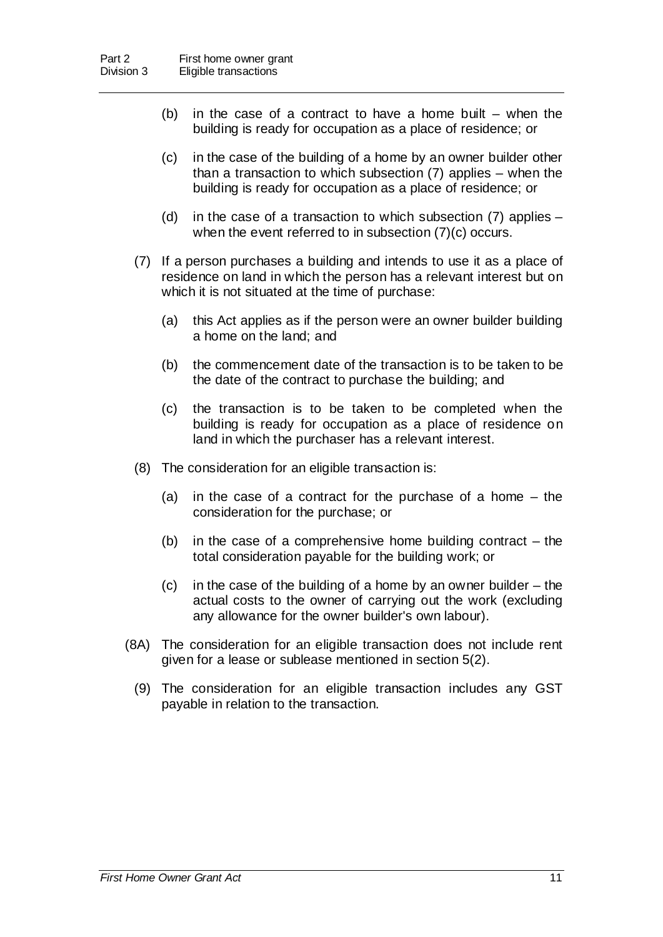- (b) in the case of a contract to have a home built when the building is ready for occupation as a place of residence; or
- (c) in the case of the building of a home by an owner builder other than a transaction to which subsection (7) applies – when the building is ready for occupation as a place of residence; or
- (d) in the case of a transaction to which subsection (7) applies when the event referred to in subsection (7)(c) occurs.
- (7) If a person purchases a building and intends to use it as a place of residence on land in which the person has a relevant interest but on which it is not situated at the time of purchase:
	- (a) this Act applies as if the person were an owner builder building a home on the land; and
	- (b) the commencement date of the transaction is to be taken to be the date of the contract to purchase the building; and
	- (c) the transaction is to be taken to be completed when the building is ready for occupation as a place of residence on land in which the purchaser has a relevant interest.
- (8) The consideration for an eligible transaction is:
	- (a) in the case of a contract for the purchase of a home the consideration for the purchase; or
	- (b) in the case of a comprehensive home building contract the total consideration payable for the building work; or
	- (c) in the case of the building of a home by an owner builder the actual costs to the owner of carrying out the work (excluding any allowance for the owner builder's own labour).
- (8A) The consideration for an eligible transaction does not include rent given for a lease or sublease mentioned in section 5(2).
	- (9) The consideration for an eligible transaction includes any GST payable in relation to the transaction.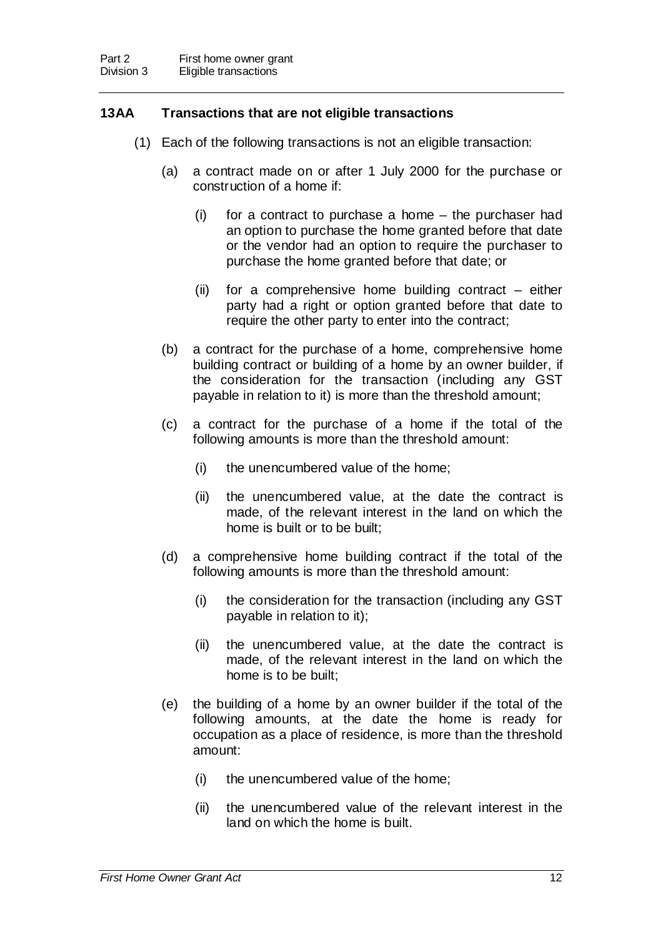### **13AA Transactions that are not eligible transactions**

- (1) Each of the following transactions is not an eligible transaction:
	- (a) a contract made on or after 1 July 2000 for the purchase or construction of a home if:
		- (i) for a contract to purchase a home the purchaser had an option to purchase the home granted before that date or the vendor had an option to require the purchaser to purchase the home granted before that date; or
		- (ii) for a comprehensive home building contract either party had a right or option granted before that date to require the other party to enter into the contract;
	- (b) a contract for the purchase of a home, comprehensive home building contract or building of a home by an owner builder, if the consideration for the transaction (including any GST payable in relation to it) is more than the threshold amount;
	- (c) a contract for the purchase of a home if the total of the following amounts is more than the threshold amount:
		- (i) the unencumbered value of the home;
		- (ii) the unencumbered value, at the date the contract is made, of the relevant interest in the land on which the home is built or to be built;
	- (d) a comprehensive home building contract if the total of the following amounts is more than the threshold amount:
		- (i) the consideration for the transaction (including any GST payable in relation to it);
		- (ii) the unencumbered value, at the date the contract is made, of the relevant interest in the land on which the home is to be built;
	- (e) the building of a home by an owner builder if the total of the following amounts, at the date the home is ready for occupation as a place of residence, is more than the threshold amount:
		- (i) the unencumbered value of the home;
		- (ii) the unencumbered value of the relevant interest in the land on which the home is built.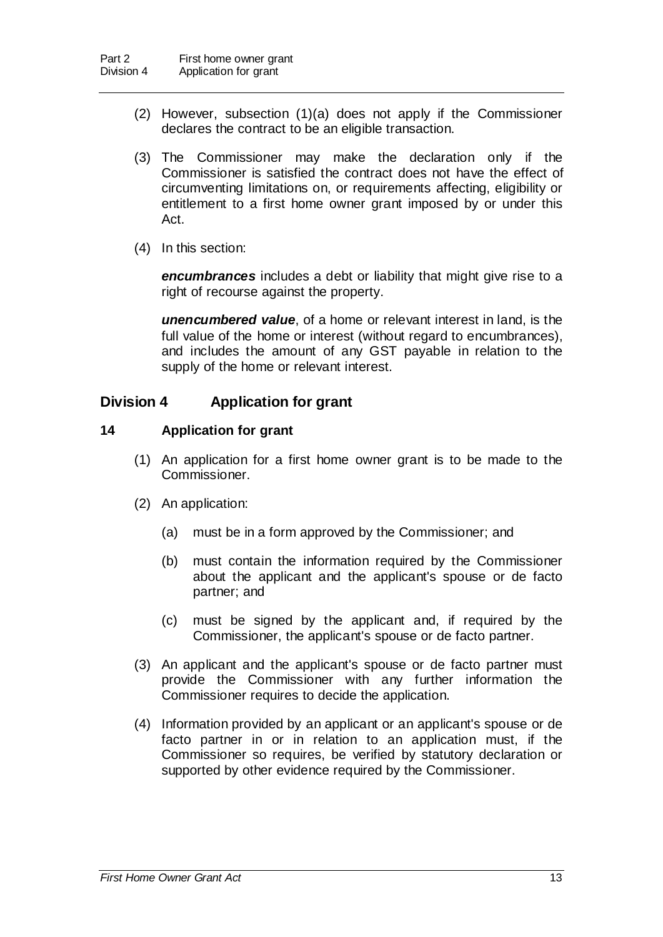- (2) However, subsection (1)(a) does not apply if the Commissioner declares the contract to be an eligible transaction.
- (3) The Commissioner may make the declaration only if the Commissioner is satisfied the contract does not have the effect of circumventing limitations on, or requirements affecting, eligibility or entitlement to a first home owner grant imposed by or under this Act.
- (4) In this section:

*encumbrances* includes a debt or liability that might give rise to a right of recourse against the property.

*unencumbered value*, of a home or relevant interest in land, is the full value of the home or interest (without regard to encumbrances), and includes the amount of any GST payable in relation to the supply of the home or relevant interest.

### **Division 4 Application for grant**

### **14 Application for grant**

- (1) An application for a first home owner grant is to be made to the Commissioner.
- (2) An application:
	- (a) must be in a form approved by the Commissioner; and
	- (b) must contain the information required by the Commissioner about the applicant and the applicant's spouse or de facto partner; and
	- (c) must be signed by the applicant and, if required by the Commissioner, the applicant's spouse or de facto partner.
- (3) An applicant and the applicant's spouse or de facto partner must provide the Commissioner with any further information the Commissioner requires to decide the application.
- (4) Information provided by an applicant or an applicant's spouse or de facto partner in or in relation to an application must, if the Commissioner so requires, be verified by statutory declaration or supported by other evidence required by the Commissioner.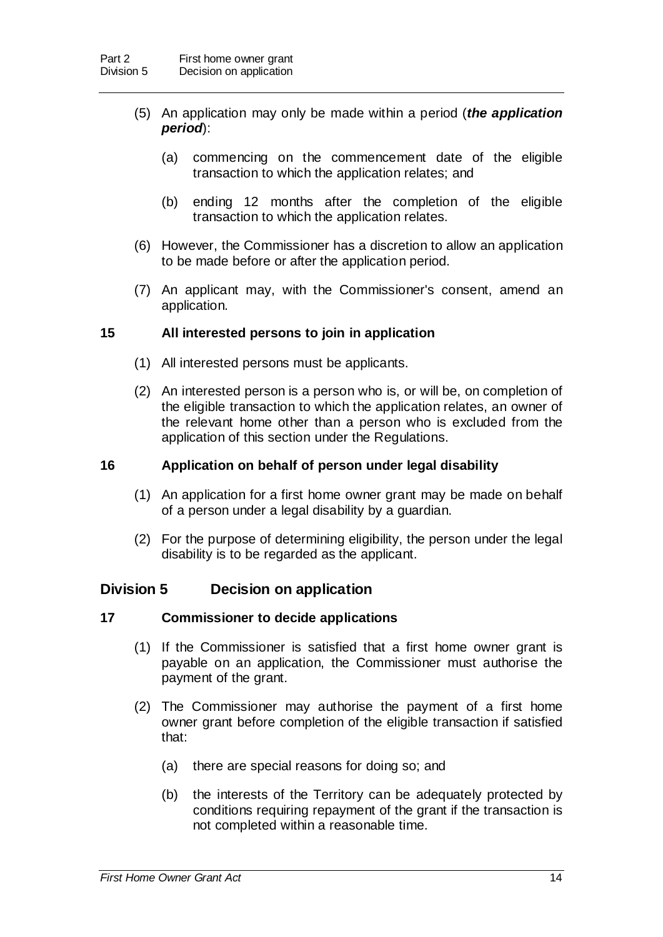- (5) An application may only be made within a period (*the application period*):
	- (a) commencing on the commencement date of the eligible transaction to which the application relates; and
	- (b) ending 12 months after the completion of the eligible transaction to which the application relates.
- (6) However, the Commissioner has a discretion to allow an application to be made before or after the application period.
- (7) An applicant may, with the Commissioner's consent, amend an application.

#### **15 All interested persons to join in application**

- (1) All interested persons must be applicants.
- (2) An interested person is a person who is, or will be, on completion of the eligible transaction to which the application relates, an owner of the relevant home other than a person who is excluded from the application of this section under the Regulations.

#### **16 Application on behalf of person under legal disability**

- (1) An application for a first home owner grant may be made on behalf of a person under a legal disability by a guardian.
- (2) For the purpose of determining eligibility, the person under the legal disability is to be regarded as the applicant.

#### **Division 5 Decision on application**

#### **17 Commissioner to decide applications**

- (1) If the Commissioner is satisfied that a first home owner grant is payable on an application, the Commissioner must authorise the payment of the grant.
- (2) The Commissioner may authorise the payment of a first home owner grant before completion of the eligible transaction if satisfied that:
	- (a) there are special reasons for doing so; and
	- (b) the interests of the Territory can be adequately protected by conditions requiring repayment of the grant if the transaction is not completed within a reasonable time.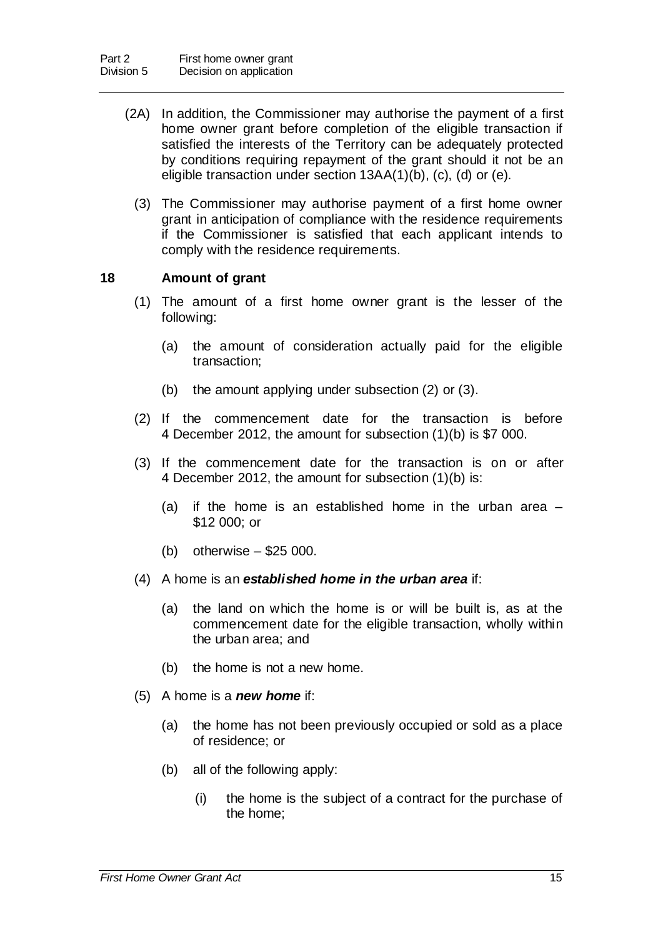- (2A) In addition, the Commissioner may authorise the payment of a first home owner grant before completion of the eligible transaction if satisfied the interests of the Territory can be adequately protected by conditions requiring repayment of the grant should it not be an eligible transaction under section 13AA(1)(b), (c), (d) or (e).
	- (3) The Commissioner may authorise payment of a first home owner grant in anticipation of compliance with the residence requirements if the Commissioner is satisfied that each applicant intends to comply with the residence requirements.

### **18 Amount of grant**

- (1) The amount of a first home owner grant is the lesser of the following:
	- (a) the amount of consideration actually paid for the eligible transaction;
	- (b) the amount applying under subsection (2) or (3).
- (2) If the commencement date for the transaction is before 4 December 2012, the amount for subsection (1)(b) is \$7 000.
- (3) If the commencement date for the transaction is on or after 4 December 2012, the amount for subsection (1)(b) is:
	- (a) if the home is an established home in the urban area  $-$ \$12 000; or
	- (b) otherwise \$25 000.
- (4) A home is an *established home in the urban area* if:
	- (a) the land on which the home is or will be built is, as at the commencement date for the eligible transaction, wholly within the urban area; and
	- (b) the home is not a new home.
- (5) A home is a *new home* if:
	- (a) the home has not been previously occupied or sold as a place of residence; or
	- (b) all of the following apply:
		- (i) the home is the subject of a contract for the purchase of the home;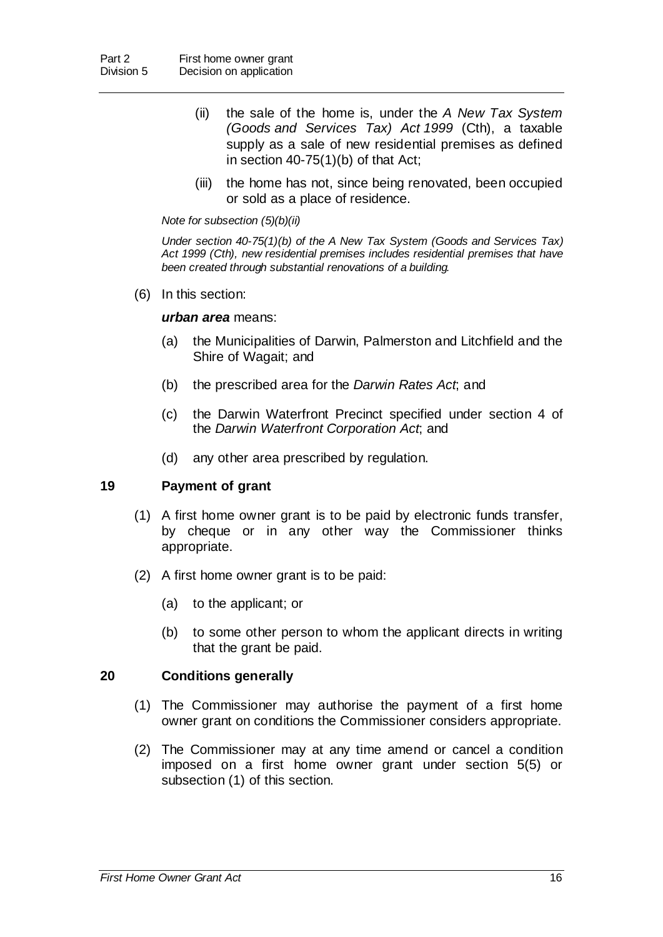- (ii) the sale of the home is, under the *A New Tax System (Goods and Services Tax) Act 1999* (Cth), a taxable supply as a sale of new residential premises as defined in section 40-75(1)(b) of that Act;
- (iii) the home has not, since being renovated, been occupied or sold as a place of residence.

#### *Note for subsection (5)(b)(ii)*

*Under section 40-75(1)(b) of the A New Tax System (Goods and Services Tax) Act 1999 (Cth), new residential premises includes residential premises that have been created through substantial renovations of a building.* 

(6) In this section:

#### *urban area* means:

- (a) the Municipalities of Darwin, Palmerston and Litchfield and the Shire of Wagait; and
- (b) the prescribed area for the *Darwin Rates Act*; and
- (c) the Darwin Waterfront Precinct specified under section 4 of the *Darwin Waterfront Corporation Act*; and
- (d) any other area prescribed by regulation.

#### **19 Payment of grant**

- (1) A first home owner grant is to be paid by electronic funds transfer, by cheque or in any other way the Commissioner thinks appropriate.
- (2) A first home owner grant is to be paid:
	- (a) to the applicant; or
	- (b) to some other person to whom the applicant directs in writing that the grant be paid.

#### **20 Conditions generally**

- (1) The Commissioner may authorise the payment of a first home owner grant on conditions the Commissioner considers appropriate.
- (2) The Commissioner may at any time amend or cancel a condition imposed on a first home owner grant under section 5(5) or subsection (1) of this section.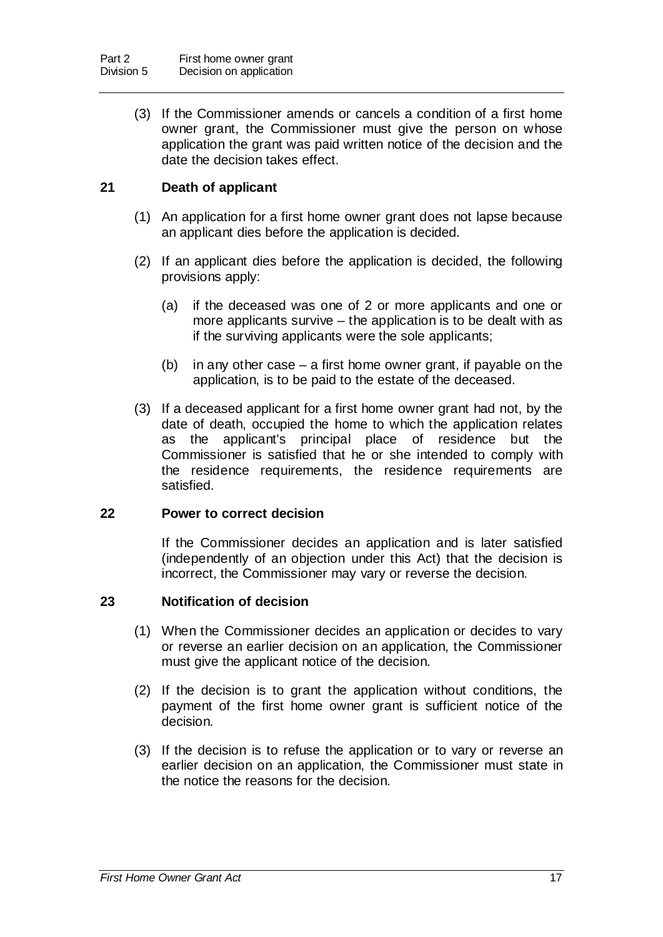(3) If the Commissioner amends or cancels a condition of a first home owner grant, the Commissioner must give the person on whose application the grant was paid written notice of the decision and the date the decision takes effect.

### **21 Death of applicant**

- (1) An application for a first home owner grant does not lapse because an applicant dies before the application is decided.
- (2) If an applicant dies before the application is decided, the following provisions apply:
	- (a) if the deceased was one of 2 or more applicants and one or more applicants survive – the application is to be dealt with as if the surviving applicants were the sole applicants;
	- (b) in any other case a first home owner grant, if payable on the application, is to be paid to the estate of the deceased.
- (3) If a deceased applicant for a first home owner grant had not, by the date of death, occupied the home to which the application relates as the applicant's principal place of residence but the Commissioner is satisfied that he or she intended to comply with the residence requirements, the residence requirements are satisfied.

#### **22 Power to correct decision**

If the Commissioner decides an application and is later satisfied (independently of an objection under this Act) that the decision is incorrect, the Commissioner may vary or reverse the decision.

#### **23 Notification of decision**

- (1) When the Commissioner decides an application or decides to vary or reverse an earlier decision on an application, the Commissioner must give the applicant notice of the decision.
- (2) If the decision is to grant the application without conditions, the payment of the first home owner grant is sufficient notice of the decision.
- (3) If the decision is to refuse the application or to vary or reverse an earlier decision on an application, the Commissioner must state in the notice the reasons for the decision.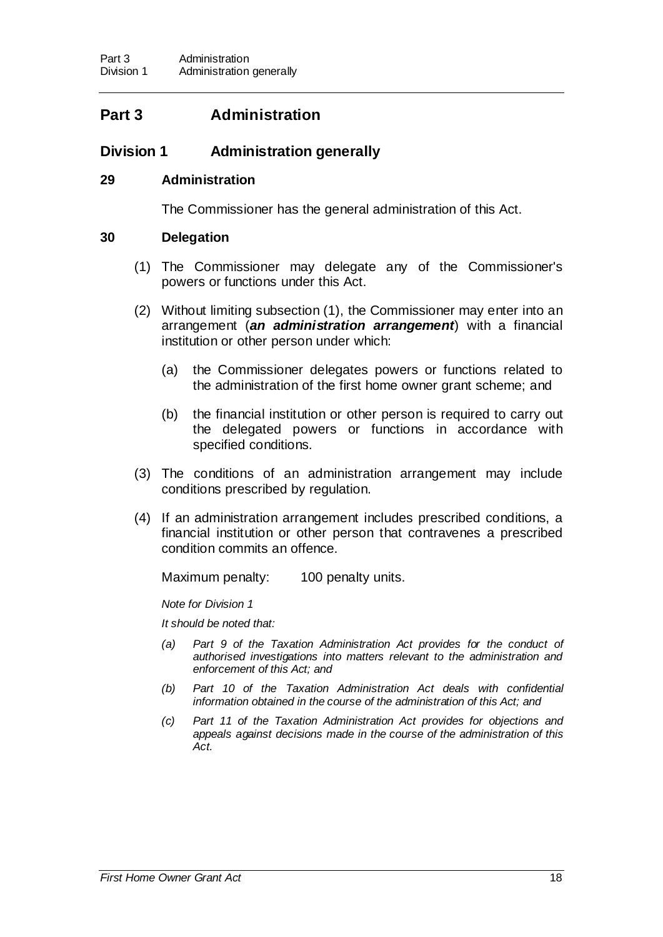# **Part 3 Administration**

### **Division 1 Administration generally**

#### **29 Administration**

The Commissioner has the general administration of this Act.

#### **30 Delegation**

- (1) The Commissioner may delegate any of the Commissioner's powers or functions under this Act.
- (2) Without limiting subsection (1), the Commissioner may enter into an arrangement (*an administration arrangement*) with a financial institution or other person under which:
	- (a) the Commissioner delegates powers or functions related to the administration of the first home owner grant scheme; and
	- (b) the financial institution or other person is required to carry out the delegated powers or functions in accordance with specified conditions.
- (3) The conditions of an administration arrangement may include conditions prescribed by regulation.
- (4) If an administration arrangement includes prescribed conditions, a financial institution or other person that contravenes a prescribed condition commits an offence.

Maximum penalty: 100 penalty units.

*Note for Division 1*

*It should be noted that:*

- *(a) Part 9 of the Taxation Administration Act provides for the conduct of authorised investigations into matters relevant to the administration and enforcement of this Act; and*
- *(b) Part 10 of the Taxation Administration Act deals with confidential information obtained in the course of the administration of this Act; and*
- *(c) Part 11 of the Taxation Administration Act provides for objections and appeals against decisions made in the course of the administration of this Act.*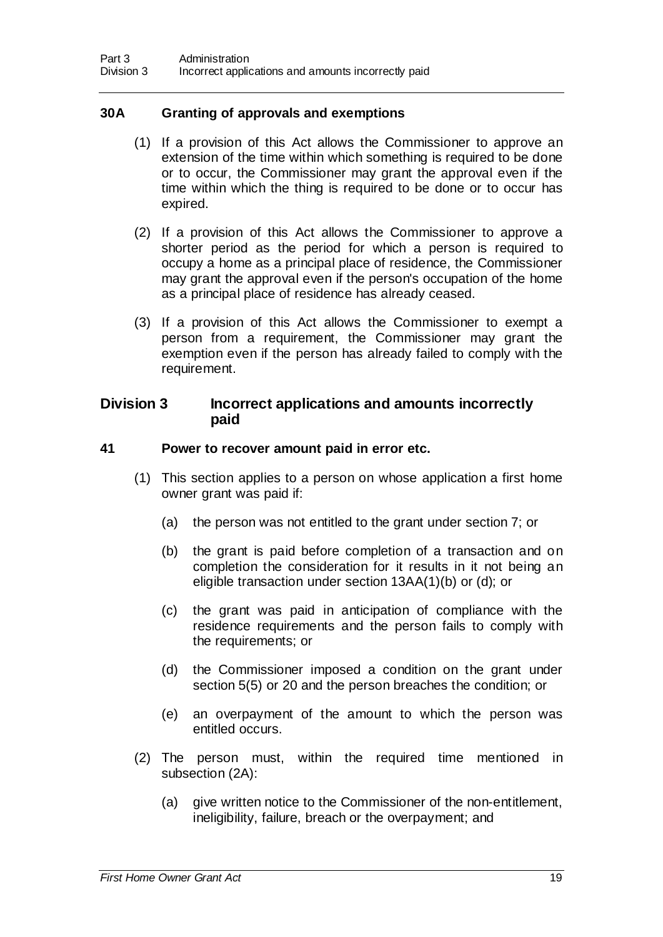### **30A Granting of approvals and exemptions**

- (1) If a provision of this Act allows the Commissioner to approve an extension of the time within which something is required to be done or to occur, the Commissioner may grant the approval even if the time within which the thing is required to be done or to occur has expired.
- (2) If a provision of this Act allows the Commissioner to approve a shorter period as the period for which a person is required to occupy a home as a principal place of residence, the Commissioner may grant the approval even if the person's occupation of the home as a principal place of residence has already ceased.
- (3) If a provision of this Act allows the Commissioner to exempt a person from a requirement, the Commissioner may grant the exemption even if the person has already failed to comply with the requirement.

#### **Division 3 Incorrect applications and amounts incorrectly paid**

#### **41 Power to recover amount paid in error etc.**

- (1) This section applies to a person on whose application a first home owner grant was paid if:
	- (a) the person was not entitled to the grant under section 7; or
	- (b) the grant is paid before completion of a transaction and on completion the consideration for it results in it not being an eligible transaction under section 13AA(1)(b) or (d); or
	- (c) the grant was paid in anticipation of compliance with the residence requirements and the person fails to comply with the requirements; or
	- (d) the Commissioner imposed a condition on the grant under section 5(5) or 20 and the person breaches the condition; or
	- (e) an overpayment of the amount to which the person was entitled occurs.
- (2) The person must, within the required time mentioned in subsection (2A):
	- (a) give written notice to the Commissioner of the non-entitlement, ineligibility, failure, breach or the overpayment; and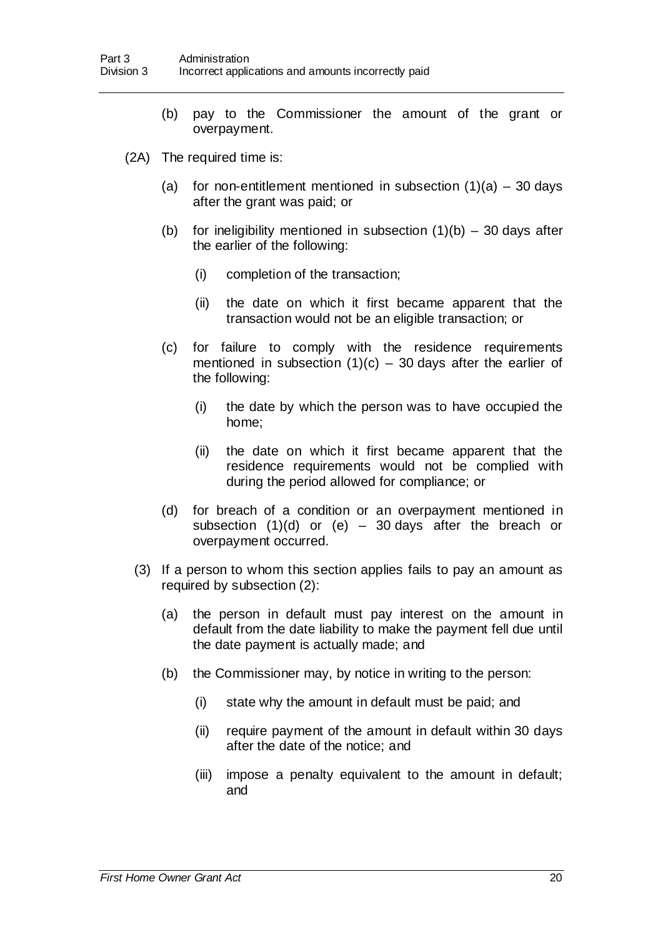- (b) pay to the Commissioner the amount of the grant or overpayment.
- (2A) The required time is:
	- (a) for non-entitlement mentioned in subsection  $(1)(a) 30$  days after the grant was paid; or
	- (b) for ineligibility mentioned in subsection  $(1)(b) 30$  days after the earlier of the following:
		- (i) completion of the transaction;
		- (ii) the date on which it first became apparent that the transaction would not be an eligible transaction; or
	- (c) for failure to comply with the residence requirements mentioned in subsection  $(1)(c) - 30$  days after the earlier of the following:
		- (i) the date by which the person was to have occupied the home;
		- (ii) the date on which it first became apparent that the residence requirements would not be complied with during the period allowed for compliance; or
	- (d) for breach of a condition or an overpayment mentioned in subsection  $(1)(d)$  or  $(e)$  – 30 days after the breach or overpayment occurred.
	- (3) If a person to whom this section applies fails to pay an amount as required by subsection (2):
		- (a) the person in default must pay interest on the amount in default from the date liability to make the payment fell due until the date payment is actually made; and
		- (b) the Commissioner may, by notice in writing to the person:
			- (i) state why the amount in default must be paid; and
			- (ii) require payment of the amount in default within 30 days after the date of the notice; and
			- (iii) impose a penalty equivalent to the amount in default; and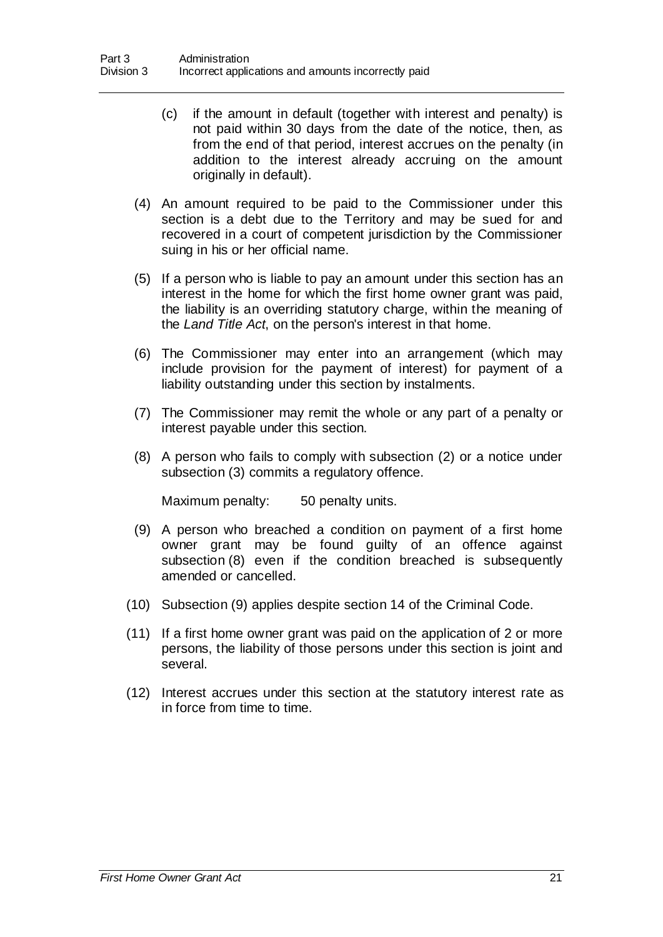- (c) if the amount in default (together with interest and penalty) is not paid within 30 days from the date of the notice, then, as from the end of that period, interest accrues on the penalty (in addition to the interest already accruing on the amount originally in default).
- (4) An amount required to be paid to the Commissioner under this section is a debt due to the Territory and may be sued for and recovered in a court of competent jurisdiction by the Commissioner suing in his or her official name.
- (5) If a person who is liable to pay an amount under this section has an interest in the home for which the first home owner grant was paid, the liability is an overriding statutory charge, within the meaning of the *Land Title Act*, on the person's interest in that home.
- (6) The Commissioner may enter into an arrangement (which may include provision for the payment of interest) for payment of a liability outstanding under this section by instalments.
- (7) The Commissioner may remit the whole or any part of a penalty or interest payable under this section.
- (8) A person who fails to comply with subsection (2) or a notice under subsection (3) commits a regulatory offence.

Maximum penalty: 50 penalty units.

- (9) A person who breached a condition on payment of a first home owner grant may be found guilty of an offence against subsection (8) even if the condition breached is subsequently amended or cancelled.
- (10) Subsection (9) applies despite section 14 of the Criminal Code.
- (11) If a first home owner grant was paid on the application of 2 or more persons, the liability of those persons under this section is joint and several.
- (12) Interest accrues under this section at the statutory interest rate as in force from time to time.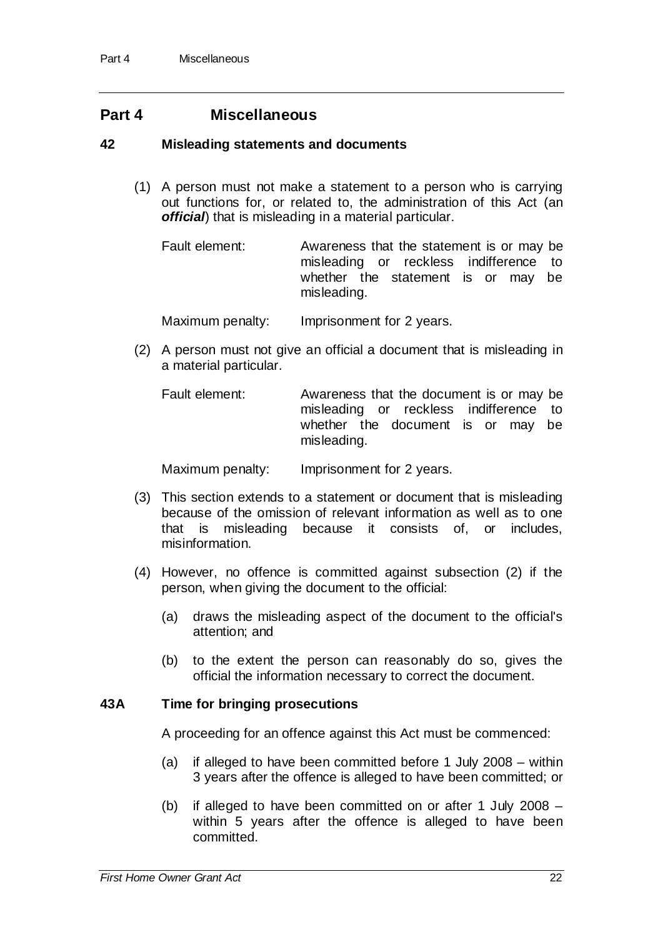### **Part 4 Miscellaneous**

#### **42 Misleading statements and documents**

(1) A person must not make a statement to a person who is carrying out functions for, or related to, the administration of this Act (an *official*) that is misleading in a material particular.

Fault element: Awareness that the statement is or may be misleading or reckless indifference to whether the statement is or may be misleading.

Maximum penalty: Imprisonment for 2 years.

(2) A person must not give an official a document that is misleading in a material particular.

Fault element: Awareness that the document is or may be misleading or reckless indifference to whether the document is or may be misleading.

Maximum penalty: Imprisonment for 2 years.

- (3) This section extends to a statement or document that is misleading because of the omission of relevant information as well as to one that is misleading because it consists of, or includes, misinformation.
- (4) However, no offence is committed against subsection (2) if the person, when giving the document to the official:
	- (a) draws the misleading aspect of the document to the official's attention; and
	- (b) to the extent the person can reasonably do so, gives the official the information necessary to correct the document.

#### **43A Time for bringing prosecutions**

A proceeding for an offence against this Act must be commenced:

- (a) if alleged to have been committed before 1 July 2008 within 3 years after the offence is alleged to have been committed; or
- (b) if alleged to have been committed on or after 1 July 2008 within 5 years after the offence is alleged to have been committed.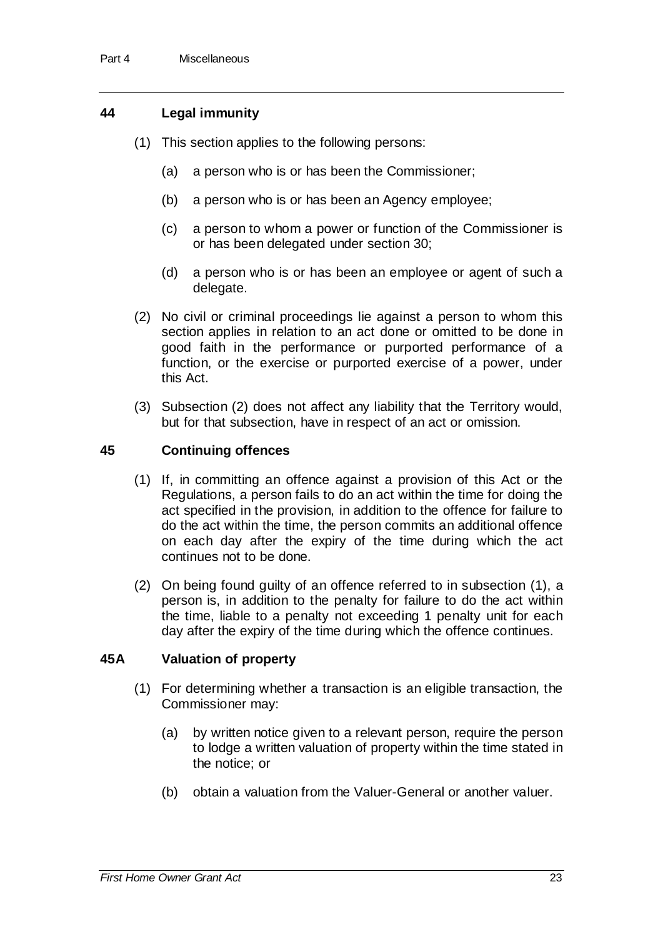### **44 Legal immunity**

- (1) This section applies to the following persons:
	- (a) a person who is or has been the Commissioner;
	- (b) a person who is or has been an Agency employee;
	- (c) a person to whom a power or function of the Commissioner is or has been delegated under section 30;
	- (d) a person who is or has been an employee or agent of such a delegate.
- (2) No civil or criminal proceedings lie against a person to whom this section applies in relation to an act done or omitted to be done in good faith in the performance or purported performance of a function, or the exercise or purported exercise of a power, under this Act.
- (3) Subsection (2) does not affect any liability that the Territory would, but for that subsection, have in respect of an act or omission.

### **45 Continuing offences**

- (1) If, in committing an offence against a provision of this Act or the Regulations, a person fails to do an act within the time for doing the act specified in the provision, in addition to the offence for failure to do the act within the time, the person commits an additional offence on each day after the expiry of the time during which the act continues not to be done.
- (2) On being found guilty of an offence referred to in subsection (1), a person is, in addition to the penalty for failure to do the act within the time, liable to a penalty not exceeding 1 penalty unit for each day after the expiry of the time during which the offence continues.

### **45A Valuation of property**

- (1) For determining whether a transaction is an eligible transaction, the Commissioner may:
	- (a) by written notice given to a relevant person, require the person to lodge a written valuation of property within the time stated in the notice; or
	- (b) obtain a valuation from the Valuer-General or another valuer.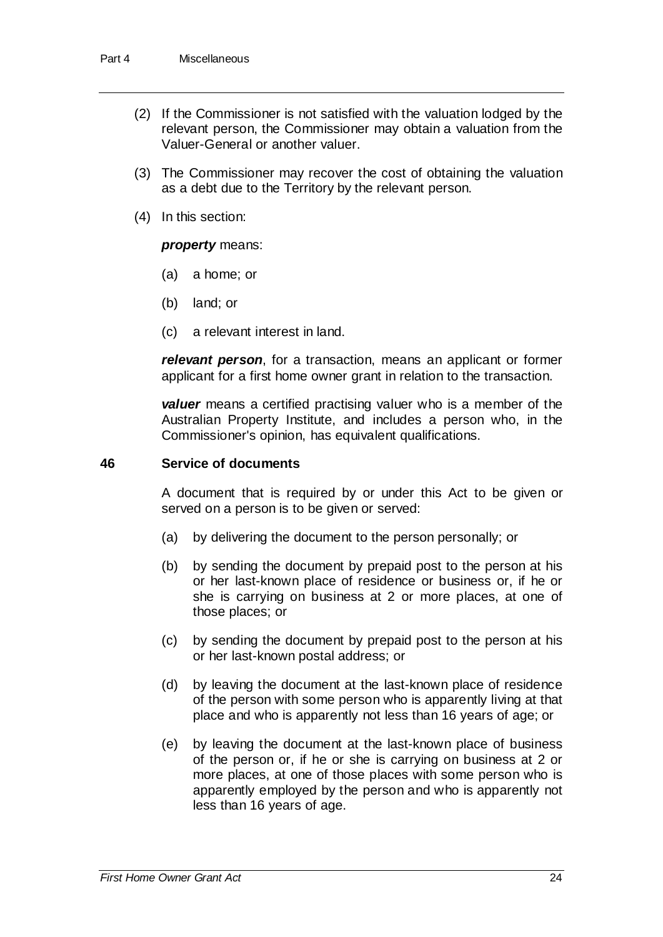- (2) If the Commissioner is not satisfied with the valuation lodged by the relevant person, the Commissioner may obtain a valuation from the Valuer-General or another valuer.
- (3) The Commissioner may recover the cost of obtaining the valuation as a debt due to the Territory by the relevant person.
- (4) In this section:

#### *property* means:

- (a) a home; or
- (b) land; or
- (c) a relevant interest in land.

*relevant person*, for a transaction, means an applicant or former applicant for a first home owner grant in relation to the transaction.

*valuer* means a certified practising valuer who is a member of the Australian Property Institute, and includes a person who, in the Commissioner's opinion, has equivalent qualifications.

#### **46 Service of documents**

A document that is required by or under this Act to be given or served on a person is to be given or served:

- (a) by delivering the document to the person personally; or
- (b) by sending the document by prepaid post to the person at his or her last-known place of residence or business or, if he or she is carrying on business at 2 or more places, at one of those places; or
- (c) by sending the document by prepaid post to the person at his or her last-known postal address; or
- (d) by leaving the document at the last-known place of residence of the person with some person who is apparently living at that place and who is apparently not less than 16 years of age; or
- (e) by leaving the document at the last-known place of business of the person or, if he or she is carrying on business at 2 or more places, at one of those places with some person who is apparently employed by the person and who is apparently not less than 16 years of age.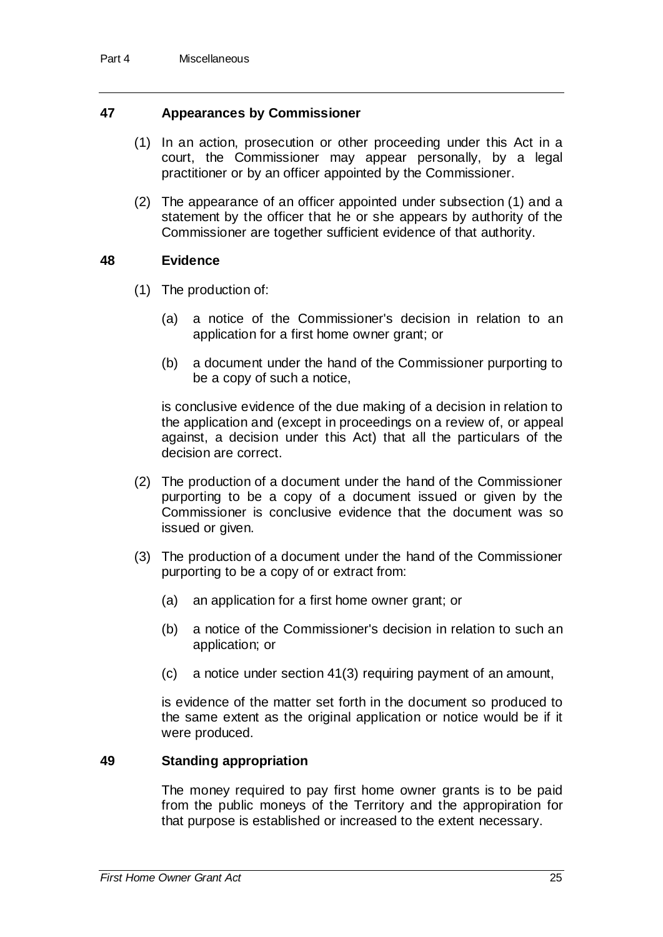#### **47 Appearances by Commissioner**

- (1) In an action, prosecution or other proceeding under this Act in a court, the Commissioner may appear personally, by a legal practitioner or by an officer appointed by the Commissioner.
- (2) The appearance of an officer appointed under subsection (1) and a statement by the officer that he or she appears by authority of the Commissioner are together sufficient evidence of that authority.

#### **48 Evidence**

- (1) The production of:
	- (a) a notice of the Commissioner's decision in relation to an application for a first home owner grant; or
	- (b) a document under the hand of the Commissioner purporting to be a copy of such a notice,

is conclusive evidence of the due making of a decision in relation to the application and (except in proceedings on a review of, or appeal against, a decision under this Act) that all the particulars of the decision are correct.

- (2) The production of a document under the hand of the Commissioner purporting to be a copy of a document issued or given by the Commissioner is conclusive evidence that the document was so issued or given.
- (3) The production of a document under the hand of the Commissioner purporting to be a copy of or extract from:
	- (a) an application for a first home owner grant; or
	- (b) a notice of the Commissioner's decision in relation to such an application; or
	- (c) a notice under section 41(3) requiring payment of an amount,

is evidence of the matter set forth in the document so produced to the same extent as the original application or notice would be if it were produced.

#### **49 Standing appropriation**

The money required to pay first home owner grants is to be paid from the public moneys of the Territory and the appropiration for that purpose is established or increased to the extent necessary.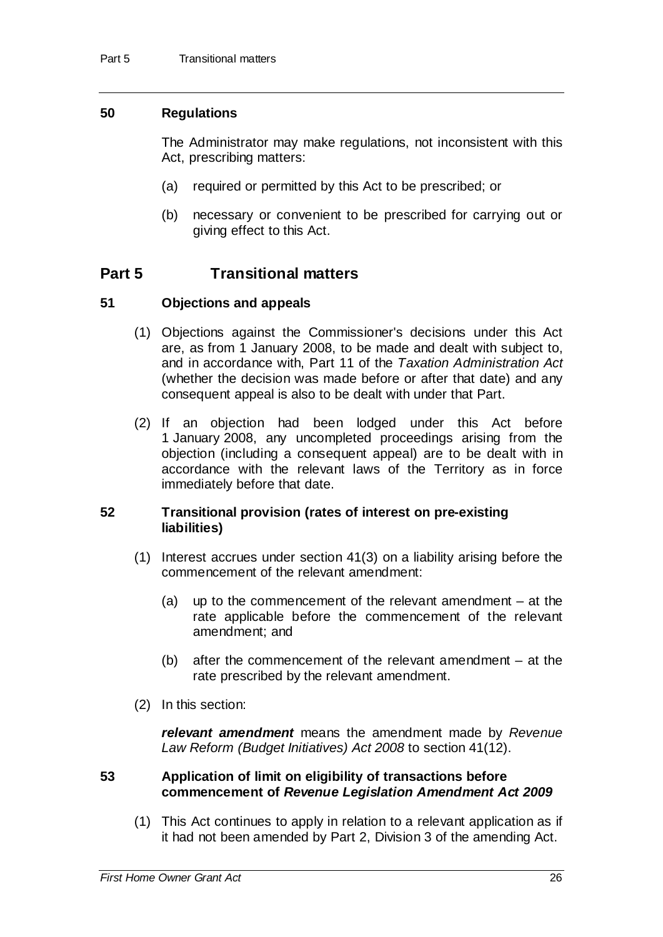#### **50 Regulations**

The Administrator may make regulations, not inconsistent with this Act, prescribing matters:

- (a) required or permitted by this Act to be prescribed; or
- (b) necessary or convenient to be prescribed for carrying out or giving effect to this Act.

## **Part 5 Transitional matters**

#### **51 Objections and appeals**

- (1) Objections against the Commissioner's decisions under this Act are, as from 1 January 2008, to be made and dealt with subject to, and in accordance with, Part 11 of the *Taxation Administration Act* (whether the decision was made before or after that date) and any consequent appeal is also to be dealt with under that Part.
- (2) If an objection had been lodged under this Act before 1 January 2008, any uncompleted proceedings arising from the objection (including a consequent appeal) are to be dealt with in accordance with the relevant laws of the Territory as in force immediately before that date.

#### **52 Transitional provision (rates of interest on pre-existing liabilities)**

- (1) Interest accrues under section 41(3) on a liability arising before the commencement of the relevant amendment:
	- (a) up to the commencement of the relevant amendment at the rate applicable before the commencement of the relevant amendment; and
	- (b) after the commencement of the relevant amendment at the rate prescribed by the relevant amendment.
- (2) In this section:

*relevant amendment* means the amendment made by *Revenue Law Reform (Budget Initiatives) Act 2008* to section 41(12).

#### **53 Application of limit on eligibility of transactions before commencement of** *Revenue Legislation Amendment Act 2009*

(1) This Act continues to apply in relation to a relevant application as if it had not been amended by Part 2, Division 3 of the amending Act.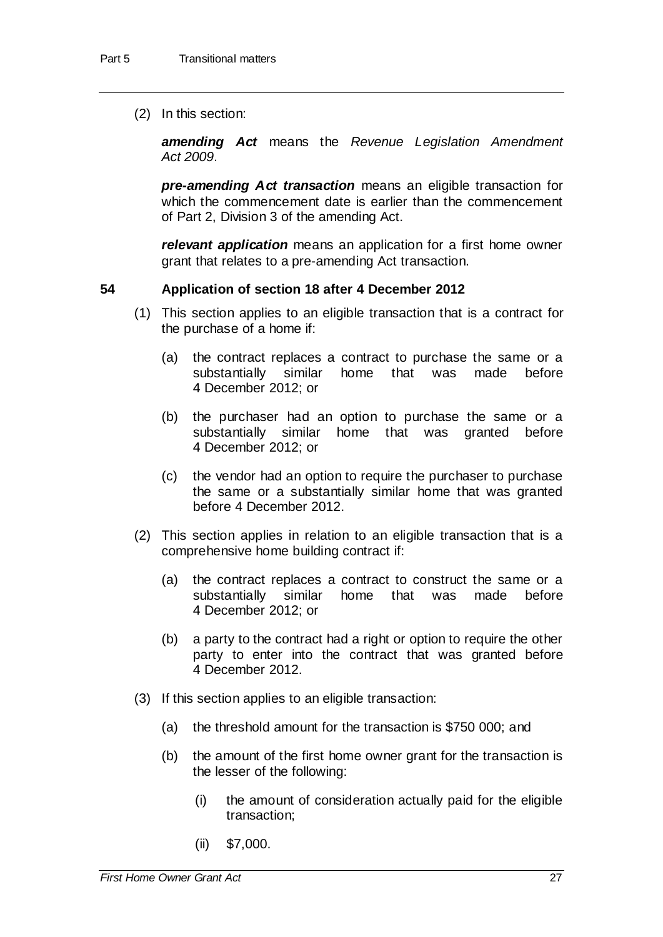(2) In this section:

*amending Act* means the *Revenue Legislation Amendment Act 2009*.

*pre-amending Act transaction* means an eligible transaction for which the commencement date is earlier than the commencement of Part 2, Division 3 of the amending Act.

*relevant application* means an application for a first home owner grant that relates to a pre-amending Act transaction.

#### **54 Application of section 18 after 4 December 2012**

- (1) This section applies to an eligible transaction that is a contract for the purchase of a home if:
	- (a) the contract replaces a contract to purchase the same or a substantially similar home that was made before 4 December 2012; or
	- (b) the purchaser had an option to purchase the same or a substantially similar home that was granted before 4 December 2012; or
	- (c) the vendor had an option to require the purchaser to purchase the same or a substantially similar home that was granted before 4 December 2012.
- (2) This section applies in relation to an eligible transaction that is a comprehensive home building contract if:
	- (a) the contract replaces a contract to construct the same or a substantially similar home that was made before 4 December 2012; or
	- (b) a party to the contract had a right or option to require the other party to enter into the contract that was granted before 4 December 2012.
- (3) If this section applies to an eligible transaction:
	- (a) the threshold amount for the transaction is \$750 000; and
	- (b) the amount of the first home owner grant for the transaction is the lesser of the following:
		- (i) the amount of consideration actually paid for the eligible transaction;
		- (ii) \$7,000.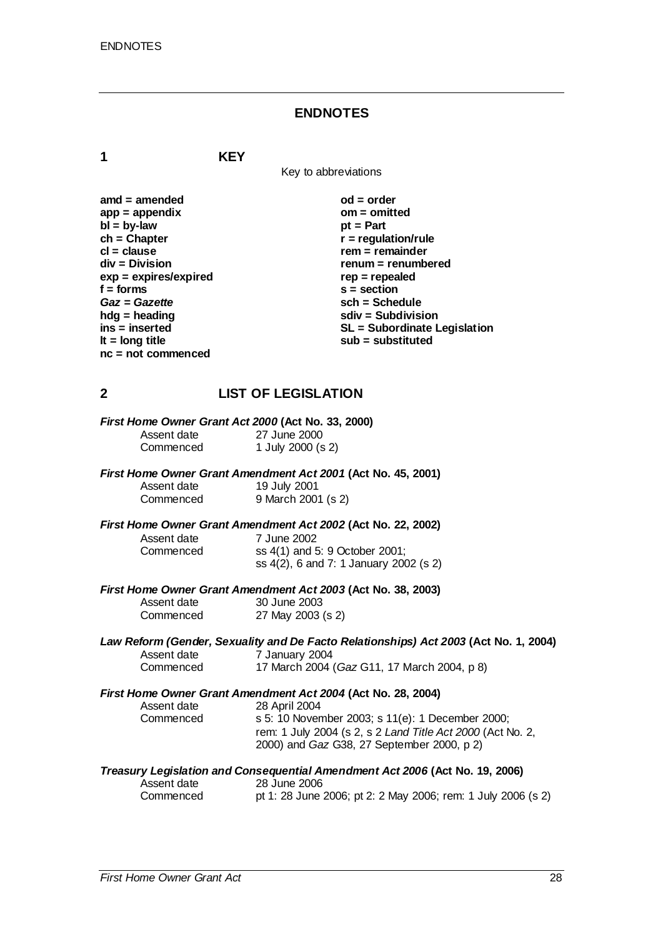#### **ENDNOTES**

**1 KEY**

Key to abbreviations

| $amd = amended$         | $od = order$                 |
|-------------------------|------------------------------|
| $app = appendix$        | $om = omited$                |
| $bl = by-law$           | $pt = Part$                  |
| $ch = Chapter$          | $r =$ regulation/rule        |
| $cl = clause$           | $rem = remainder$            |
| $div = Division$        | renum = renumbered           |
| $exp = expires/expired$ | $rep = repeated$             |
| $f =$ forms             | $s = section$                |
| Gaz = Gazette           | $sch = Schedule$             |
| $h dg =$ heading        | $sdiv = Subdivision$         |
| $ins = inserted$        | SL = Subordinate Legislation |
| It = $long$ title       | $sub =$ substituted          |
| $nc = not commenced$    |                              |

### **2 LIST OF LEGISLATION**

|             | First Home Owner Grant Act 2000 (Act No. 33, 2000) |  |
|-------------|----------------------------------------------------|--|
| Accont data | 27 June 2000                                       |  |

Assent date 27 June 2000<br>Commenced 1 July 2000 (s 1 July 2000 (s 2)

#### *First Home Owner Grant Amendment Act 2001* **(Act No. 45, 2001)**

| Assent date | 19 July 2001       |
|-------------|--------------------|
| Commenced   | 9 March 2001 (s 2) |

#### *First Home Owner Grant Amendment Act 2002* **(Act No. 22, 2002)**

Assent date 7 June 2002<br>Commenced ss 4(1) and 5

ss 4(1) and 5: 9 October 2001; ss 4(2), 6 and 7: 1 January 2002 (s 2)

*First Home Owner Grant Amendment Act 2003* **(Act No. 38, 2003)** Assent date

| Assent date | 30 June 2003      |
|-------------|-------------------|
| Commenced   | 27 May 2003 (s 2) |

#### *Law Reform (Gender, Sexuality and De Facto Relationships) Act 2003* **(Act No. 1, 2004)** Assent date  $\begin{array}{r} 7 \text{ January } 2004 \\ \text{Commerced} \end{array}$  17 March 2004 17 March 2004 (*Gaz* G11, 17 March 2004, p 8)

### *First Home Owner Grant Amendment Act 2004* **(Act No. 28, 2004)**

| Assent date | 28 April 2004                                              |
|-------------|------------------------------------------------------------|
| Commenced   | s 5: 10 November 2003; s 11(e): 1 December 2000;           |
|             | rem: 1 July 2004 (s 2, s 2 Land Title Act 2000 (Act No. 2, |
|             | 2000) and <i>Gaz</i> G38, 27 September 2000, p 2)          |

#### *Treasury Legislation and Consequential Amendment Act 2006* **(Act No. 19, 2006)**

| Assent date | 28 June 2006                                                 |  |  |
|-------------|--------------------------------------------------------------|--|--|
| Commenced   | pt 1: 28 June 2006; pt 2: 2 May 2006; rem: 1 July 2006 (s 2) |  |  |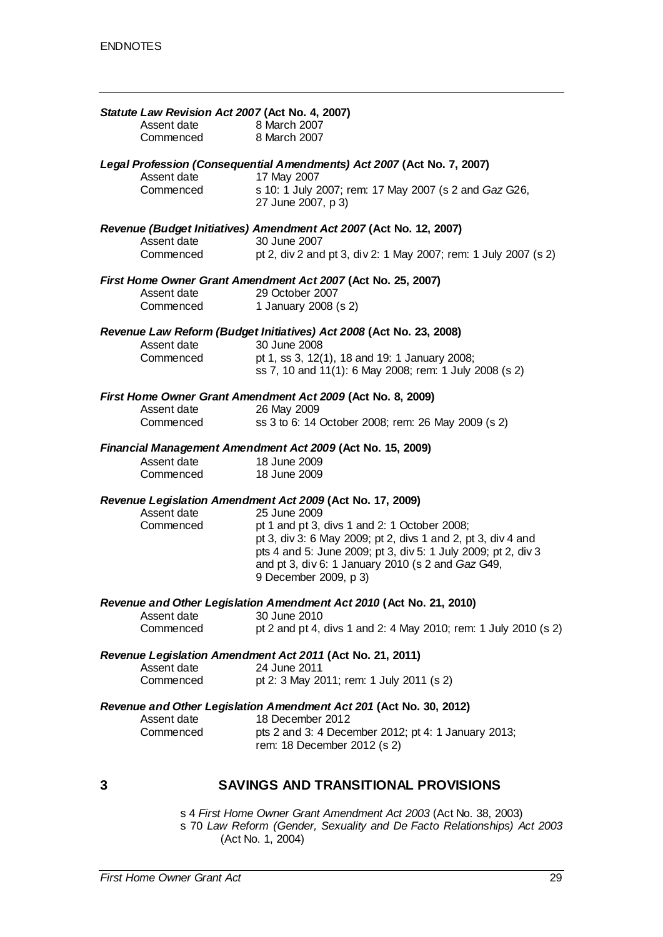| Assent date<br>Commenced | Statute Law Revision Act 2007 (Act No. 4, 2007)<br>8 March 2007<br>8 March 2007                              |
|--------------------------|--------------------------------------------------------------------------------------------------------------|
|                          | Legal Profession (Consequential Amendments) Act 2007 (Act No. 7, 2007)                                       |
| Assent date<br>Commenced | 17 May 2007<br>s 10: 1 July 2007; rem: 17 May 2007 (s 2 and Gaz G26,<br>27 June 2007, p 3)                   |
|                          | Revenue (Budget Initiatives) Amendment Act 2007 (Act No. 12, 2007)                                           |
| Assent date              | 30 June 2007                                                                                                 |
| Commenced                | pt 2, div 2 and pt 3, div 2: 1 May 2007; rem: 1 July 2007 (s 2)                                              |
|                          | First Home Owner Grant Amendment Act 2007 (Act No. 25, 2007)                                                 |
| Assent date              | 29 October 2007                                                                                              |
| Commenced                | 1 January 2008 (s 2)                                                                                         |
|                          | Revenue Law Reform (Budget Initiatives) Act 2008 (Act No. 23, 2008)                                          |
| Assent date<br>Commenced | 30 June 2008                                                                                                 |
|                          | pt 1, ss 3, 12(1), 18 and 19: 1 January 2008;<br>ss 7, 10 and 11(1): 6 May 2008; rem: 1 July 2008 (s 2)      |
|                          | First Home Owner Grant Amendment Act 2009 (Act No. 8, 2009)                                                  |
| Assent date              | 26 May 2009<br>ss 3 to 6: 14 October 2008; rem: 26 May 2009 (s 2)                                            |
| Commenced                |                                                                                                              |
|                          | Financial Management Amendment Act 2009 (Act No. 15, 2009)                                                   |
| Assent date              | 18 June 2009                                                                                                 |
| Commenced                | 18 June 2009                                                                                                 |
|                          | Revenue Legislation Amendment Act 2009 (Act No. 17, 2009)                                                    |
| Assent date              | 25 June 2009                                                                                                 |
| Commenced                | pt 1 and pt 3, divs 1 and 2: 1 October 2008;<br>pt 3, div 3: 6 May 2009; pt 2, divs 1 and 2, pt 3, div 4 and |
|                          | pts 4 and 5: June 2009; pt 3, div 5: 1 July 2009; pt 2, div 3                                                |
|                          | and pt 3, div 6: 1 January 2010 (s 2 and Gaz G49,                                                            |
|                          | 9 December 2009, p 3)                                                                                        |
| Assent date              | Revenue and Other Legislation Amendment Act 2010 (Act No. 21, 2010)<br>30 June 2010                          |
| Commenced                | pt 2 and pt 4, divs 1 and 2: 4 May 2010; rem: 1 July 2010 (s 2)                                              |
|                          |                                                                                                              |
|                          | Revenue Legislation Amendment Act 2011 (Act No. 21, 2011)<br>24 June 2011                                    |
| Assent date<br>Commenced | pt 2: 3 May 2011; rem: 1 July 2011 (s 2)                                                                     |
|                          | Revenue and Other Legislation Amendment Act 201 (Act No. 30, 2012)                                           |
| Assent date              | 18 December 2012                                                                                             |
| Commenced                | pts 2 and 3: 4 December 2012; pt 4: 1 January 2013;<br>rem: 18 December 2012 (s 2)                           |
|                          |                                                                                                              |
| 3                        | <b>SAVINGS AND TRANSITIONAL PROVISIONS</b>                                                                   |

s 4 *First Home Owner Grant Amendment Act 2003* (Act No. 38, 2003) s 70 *Law Reform (Gender, Sexuality and De Facto Relationships) Act 2003* (Act No. 1, 2004)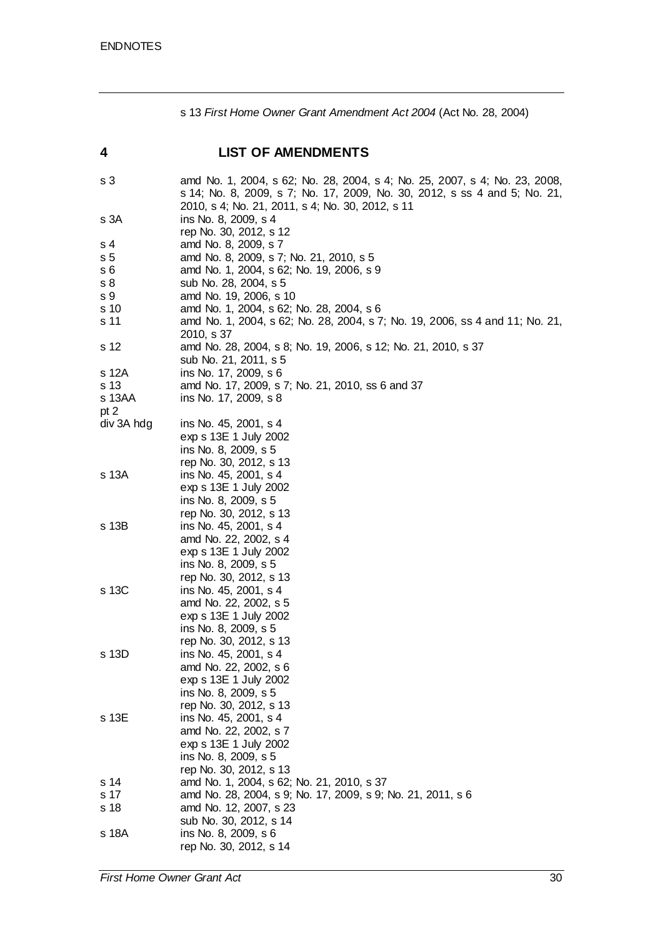s 13 *First Home Owner Grant Amendment Act 2004* (Act No. 28, 2004)

| 4              | <b>LIST OF AMENDMENTS</b>                                                                                                                                                                                   |
|----------------|-------------------------------------------------------------------------------------------------------------------------------------------------------------------------------------------------------------|
| s 3            | amd No. 1, 2004, s 62; No. 28, 2004, s 4; No. 25, 2007, s 4; No. 23, 2008,<br>s 14; No. 8, 2009, s 7; No. 17, 2009, No. 30, 2012, s ss 4 and 5; No. 21,<br>2010, s 4; No. 21, 2011, s 4; No. 30, 2012, s 11 |
| s 3A           | ins No. 8, 2009, s 4<br>rep No. 30, 2012, s 12                                                                                                                                                              |
| s 4            | amd No. 8, 2009, s 7                                                                                                                                                                                        |
| s <sub>5</sub> | amd No. 8, 2009, s 7; No. 21, 2010, s 5                                                                                                                                                                     |
| s 6            | amd No. 1, 2004, s 62; No. 19, 2006, s 9                                                                                                                                                                    |
| s 8            | sub No. 28, 2004, s 5                                                                                                                                                                                       |
| s 9            | amd No. 19, 2006, s 10                                                                                                                                                                                      |
| s 10           | amd No. 1, 2004, s 62; No. 28, 2004, s 6                                                                                                                                                                    |
| s 11           | amd No. 1, 2004, s 62; No. 28, 2004, s 7; No. 19, 2006, ss 4 and 11; No. 21,<br>2010, s 37                                                                                                                  |
| s 12           | amd No. 28, 2004, s 8; No. 19, 2006, s 12; No. 21, 2010, s 37<br>sub No. 21, 2011, s 5                                                                                                                      |
| s 12A          | ins No. 17, 2009, s 6                                                                                                                                                                                       |
| s 13           | amd No. 17, 2009, s 7; No. 21, 2010, ss 6 and 37                                                                                                                                                            |
| s 13AA         | ins No. 17, 2009, s 8                                                                                                                                                                                       |
| pt 2           |                                                                                                                                                                                                             |
| div 3A hdg     | ins No. 45, 2001, s 4                                                                                                                                                                                       |
|                | exp s 13E 1 July 2002                                                                                                                                                                                       |
|                | ins No. 8, 2009, s 5                                                                                                                                                                                        |
|                | rep No. 30, 2012, s 13                                                                                                                                                                                      |
| s 13A          | ins No. 45, 2001, s 4                                                                                                                                                                                       |
|                | exp s 13E 1 July 2002                                                                                                                                                                                       |
|                | ins No. 8, 2009, s 5                                                                                                                                                                                        |
|                | rep No. 30, 2012, s 13                                                                                                                                                                                      |
| s 13B          | ins No. 45, 2001, s 4                                                                                                                                                                                       |
|                | amd No. 22, 2002, s 4                                                                                                                                                                                       |
|                | exp s 13E 1 July 2002<br>ins No. 8, 2009, s 5                                                                                                                                                               |
|                | rep No. 30, 2012, s 13                                                                                                                                                                                      |
| s 13C          | ins No. 45, 2001, s 4                                                                                                                                                                                       |
|                | amd No. 22, 2002, s 5                                                                                                                                                                                       |
|                | exp s 13E 1 July 2002                                                                                                                                                                                       |
|                | ins No. 8, 2009, s 5                                                                                                                                                                                        |
|                | rep No. 30, 2012, s 13                                                                                                                                                                                      |
| s 13D          | ins No. 45, 2001, s 4                                                                                                                                                                                       |
|                | amd No. 22, 2002, s 6                                                                                                                                                                                       |
|                | exp s 13E 1 July 2002                                                                                                                                                                                       |
|                | ins No. 8, 2009, s 5                                                                                                                                                                                        |
|                | rep No. 30, 2012, s 13                                                                                                                                                                                      |
| s 13E          | ins No. 45, 2001, s 4                                                                                                                                                                                       |
|                | amd No. 22, 2002, s 7                                                                                                                                                                                       |
|                | exp s 13E 1 July 2002                                                                                                                                                                                       |
|                | ins No. 8, 2009, s 5                                                                                                                                                                                        |
|                | rep No. 30, 2012, s 13                                                                                                                                                                                      |
| s 14<br>s 17   | amd No. 1, 2004, s 62; No. 21, 2010, s 37                                                                                                                                                                   |
| s 18           | amd No. 28, 2004, s 9; No. 17, 2009, s 9; No. 21, 2011, s 6<br>amd No. 12, 2007, s 23                                                                                                                       |
|                | sub No. 30, 2012, s 14                                                                                                                                                                                      |
| s 18A          | ins No. 8, 2009, s 6                                                                                                                                                                                        |
|                | rep No. 30, 2012, s 14                                                                                                                                                                                      |